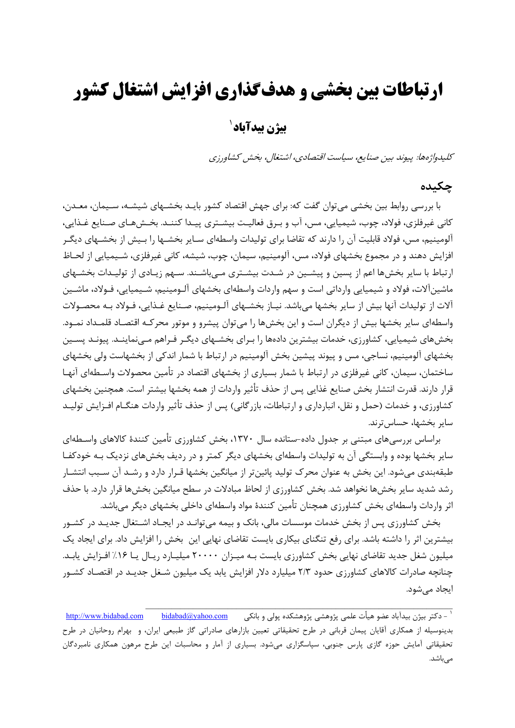## **ارتباطات بين بخشي و هدفگذاري افزايش اشتغال كشور**

## <sup>1</sup> **بيژن بيدآباد**

كليدواژهها: پيوند بين صنايع، سياست اقتصادي، اشتغال، بخش كشاورزي

#### **چكيده**

با بررسي روابط بين بخشي ميتوان گفت كه: براي جهش اقتصاد كشور بايـد بخشـهاي شيشـه، سـيمان، معـدن، كاني غيرفلزي، فولاد، چوب، شيميايي، مس، آب و بـرق فعاليـت بيشـتري پيـدا كننـد. بخـشهـاي صـنايع غـذايي، آلومينيم، مس، فولاد قابليت آن را دارند كه تقاضا براي توليدات واسطهاي سـاير بخشـها را بـيش از بخشـهاي ديگـر افزايش دهند و در مجموع بخشهاي فولاد، مس، آلومينيم، سيمان، چوب، شيشه، كاني غيرفلزي، شـيميايي از لحـاظ ارتباط با ساير بخشها اعم از پسين و پيشـين در شـدت بيشـتري مـيباشـند. سـهم زيـادي از توليـدات بخشـهاي ماشينآلات، فولاد و شيميايي وارداتي است و سهم واردات واسطهاي بخشهاي آلـومينيم، شـيميايي، فـولاد، ماشـين آلات از توليدات آنها بيش از ساير بخشها ميباشد. نيـاز بخشـهاي آلـومينيم، صـنايع غـذايي، فـولاد بـه محصـولات واسطهاي ساير بخشها بيش از ديگران است و اين بخشها را ميتوان پيشرو و موتور محركـه اقتصـاد قلمـداد نمـود. بخشهاي شيميايي، كشاورزي، خدمات بيشترين دادهها را بـراي بخشـهاي ديگـر فـراهم مـينماينـد. پيونـد پسـين بخشهاي آلومينيم، نساجي، مس و پيوند پيشين بخش آلومينيم در ارتباط با شمار اندكي از بخشهاست ولي بخشهاي ساختمان، سيمان، كاني غيرفلزي در ارتباط با شمار بسياري از بخشهاي اقتصاد در تأمين محصولات واسـطهاي آنهـا قرار دارند. قدرت انتشار بخش صنايع غذايي پس از حذف تأثير واردات از همه بخشها بيشتر است. همچنين بخشهاي كشاورزي، و خدمات (حمل و نقل، انبارداري و ارتباطات، بازرگاني) پس از حذف تأثير واردات هنگـام افـزايش توليـد ساير بخشها، حساس ترند.

براساس بررسيهاي مبتني بر جدول داده-ستانده سال ،1370 بخش كشاورزي تأمين كنندة كالاهاي واسـطهاي ساير بخشها بوده و وابستگي آن به توليدات واسطهاي بخشهاي ديگر كمتر و در رديف بخشهاي نزديك بـه خودكفـا طبقهبندي ميشود. اين بخش به عنوان محرك توليد پائينتر از ميانگين بخشها قـرار دارد و رشـد آن سـبب انتشـار رشد شديد ساير بخشها نخواهد شد. بخش كشاورزي از لحاظ مبادلات در سطح ميانگين بخشها قرار دارد. با حذف اثر واردات واسطهاي بخش كشاورزي همچنان تأمين كنندة مواد واسطهاي داخلي بخشهاي ديگر ميباشد.

بخش كشاورزي پس از بخش خدمات موسسات مالي، بانك و بيمه ميتوانـد در ايجـاد اشـتغال جديـد در كشـور بيشترين اثر را داشته باشد. براي رفع تنگناي بيكاري بايست تقاضاي نهايي اين بخش را افزايش داد. براي ايجاد يك ميليون شغل جديد تقاضاي نهايي بخش كشاورزي بايست بـه ميـزان 20000 ميليـارد ريـال يـا %16 افـزايش يابـد. چنانچه صادرات كالاهاي كشاورزي حدود 2/3 ميليارد دلار افزايش يابد يك ميليون شـغل جديـد در اقتصـاد كشـور ايجاد ميشود.

<sup>-</sup> دكتر بيژن بيدآباد عضو هيأت علمي پژوهشي پژوهشكده پولي <sup>و</sup> بانكي com.yahoo@bidabad com.bidabad.www://http <sup>1</sup>\_\_\_\_\_\_\_\_\_\_\_\_\_\_\_\_\_\_\_\_\_\_\_\_\_\_\_\_\_\_\_\_\_\_\_\_\_\_\_\_\_\_\_\_\_\_\_\_\_\_\_\_\_\_\_\_\_\_\_\_\_\_\_\_\_\_\_\_\_\_\_ بدينوسيله از همكاري آقايان پيمان قرباني در طرح تحقيقاتي تعيين بازارهاي صادراتي گاز طبيعي ايران، و بهرام روحانيان در طرح تحقيقاتي آمايش حوزه گازي پارس جنوبي، سپاسگزاري ميشود. بسياري از آمار و محاسبات اين طرح مرهون همكاري نامبردگان مي,باشد.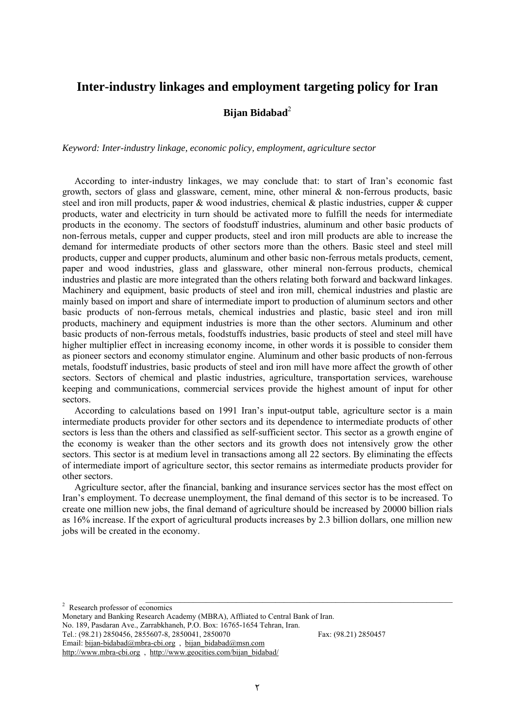#### **Inter-industry linkages and employment targeting policy for Iran**

**Bijan Bidabad**<sup>2</sup>

*Keyword: Inter-industry linkage, economic policy, employment, agriculture sector* 

According to inter-industry linkages, we may conclude that: to start of Iran's economic fast growth, sectors of glass and glassware, cement, mine, other mineral & non-ferrous products, basic steel and iron mill products, paper & wood industries, chemical & plastic industries, cupper & cupper products, water and electricity in turn should be activated more to fulfill the needs for intermediate products in the economy. The sectors of foodstuff industries, aluminum and other basic products of non-ferrous metals, cupper and cupper products, steel and iron mill products are able to increase the demand for intermediate products of other sectors more than the others. Basic steel and steel mill products, cupper and cupper products, aluminum and other basic non-ferrous metals products, cement, paper and wood industries, glass and glassware, other mineral non-ferrous products, chemical industries and plastic are more integrated than the others relating both forward and backward linkages. Machinery and equipment, basic products of steel and iron mill, chemical industries and plastic are mainly based on import and share of intermediate import to production of aluminum sectors and other basic products of non-ferrous metals, chemical industries and plastic, basic steel and iron mill products, machinery and equipment industries is more than the other sectors. Aluminum and other basic products of non-ferrous metals, foodstuffs industries, basic products of steel and steel mill have higher multiplier effect in increasing economy income, in other words it is possible to consider them as pioneer sectors and economy stimulator engine. Aluminum and other basic products of non-ferrous metals, foodstuff industries, basic products of steel and iron mill have more affect the growth of other sectors. Sectors of chemical and plastic industries, agriculture, transportation services, warehouse keeping and communications, commercial services provide the highest amount of input for other sectors.

According to calculations based on 1991 Iran's input-output table, agriculture sector is a main intermediate products provider for other sectors and its dependence to intermediate products of other sectors is less than the others and classified as self-sufficient sector. This sector as a growth engine of the economy is weaker than the other sectors and its growth does not intensively grow the other sectors. This sector is at medium level in transactions among all 22 sectors. By eliminating the effects of intermediate import of agriculture sector, this sector remains as intermediate products provider for other sectors.

Agriculture sector, after the financial, banking and insurance services sector has the most effect on Iran's employment. To decrease unemployment, the final demand of this sector is to be increased. To create one million new jobs, the final demand of agriculture should be increased by 20000 billion rials as 16% increase. If the export of agricultural products increases by 2.3 billion dollars, one million new jobs will be created in the economy.

Tel.: (98.21) 2850456, 2855607-8, 2850041, 2850070 Fax: (98.21) 2850457 Email: bijan-bidabad@mbra-cbi.org , bijan\_bidabad@msn.com

 $\frac{1}{2}$  Research professor of economics

Monetary and Banking Research Academy (MBRA), Affliated to Central Bank of Iran. No. 189, Pasdaran Ave., Zarrabkhaneh, P.O. Box: 16765-1654 Tehran, Iran.

http://www.mbra-cbi.org, http://www.geocities.com/bijan\_bidabad/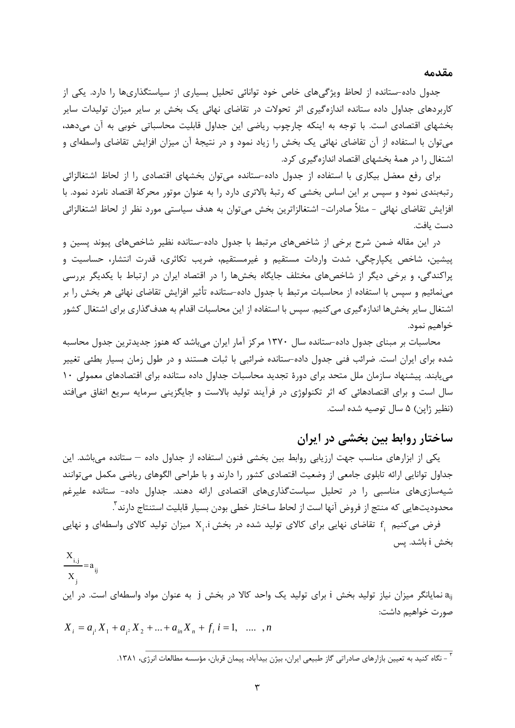#### **مقدمه**

جدول داده-ستانده از لحاظ ويژگيهاي خاص خود توانائي تحليل بسياري از سياستگذاريها را دارد. يكي از كاربردهاي جداول داده ستانده اندازهگيري اثر تحولات در تقاضاي نهائي يك بخش بر ساير ميزان توليدات ساير بخشهاي اقتصادي است. با توجه به اينكه چارچوب رياضي اين جداول قابليت محاسباتي خوبي به آن ميدهد، ميتوان با استفاده از آن تقاضاي نهائي يك بخش را زياد نمود و در نتيجة آن ميزان افزايش تقاضاي واسطهاي و اشتغال را در همة بخشهاي اقتصاد اندازهگيري كرد.

براي رفع معضل بيكاري با استفاده از جدول داده-ستانده ميتوان بخشهاي اقتصادي را از لحاظ اشتغالزائي رتبهبندي نمود و سپس بر اين اساس بخشي كه رتبة بالاتري دارد را به عنوان موتور محركة اقتصاد نامزد نمود. با افزايش تقاضاي نهائي - مثلاٌ صادرات- اشتغالزاترين بخش ميتوان به هدف سياستي مورد نظر از لحاظ اشتغالزائي دست يافت.

در اين مقاله ضمن شرح برخي از شاخصهاي مرتبط با جدول داده-ستانده نظير شاخصهاي پيوند پسين و پيشين، شاخص يكپارچگي، شدت واردات مستقيم و غيرمستقيم، ضريب تكاثري، قدرت انتشار، حساسيت و پراكندگي، و برخي ديگر از شاخصهاي مختلف جايگاه بخشها را در اقتصاد ايران در ارتباط با يكديگر بررسي مينمائيم و سپس با استفاده از محاسبات مرتبط با جدول داده-ستانده تأثير افزايش تقاضاي نهائي هر بخش را بر اشتغال ساير بخشها اندازهگيري ميكنيم. سپس با استفاده از اين محاسبات اقدام به هدفگذاري براي اشتغال كشور خواهيم نمود.

محاسبات بر مبناي جدول داده-ستانده سال 1370 مركز آمار ايران ميباشد كه هنوز جديدترين جدول محاسبه شده براي ايران است. ضرائب فني جدول داده-ستانده ضرائبي با ثبات هستند و در طول زمان بسيار بطئي تغيير مييابند. پيشنهاد سازمان ملل متحد براي دورة تجديد محاسبات جداول داده ستانده براي اقتصادهاي معمولي 10 سال است و براي اقتصادهائي كه اثر تكنولوژي در فرآيند توليد بالاست و جايگزيني سرمايه سريع اتفاق ميافتد (نظير ژاپن) 5 سال توصيه شده است.

## **ساختار روابط بين بخشي در ايران**

يكي از ابزارهاي مناسب جهت ارزيابي روابط بين بخشي فنون استفاده از جداول داده – ستانده ميباشد. اين جداول توانايي ارائه تابلوي جامعي از وضعيت اقتصادي كشور را دارند و با طراحي الگوهاي رياضي مكمل ميتوانند شيهسازيهاي مناسبي را در تحليل سياستگذاريهاي اقتصادي ارائه دهند. جداول داده- ستانده عليرغم محدوديتهايي كه منتج از فروض آنها است از لحاط ساختار خطي بودن بسيار قابليت استنتاج دارند 3 .

فرض میکنیم  $_{\rm i}$  تقاضای نهایی برای کالای تولید شده در بخش  $_{\rm i}$  ,i میزان تولید کالای واسطهای و نهایی بخش i باشد. پس

ij j  $\frac{i,j}{n} = a$ X X  $\frac{1,j}{1}$ aij نمايانگر ميزان نياز توليد بخش i براي توليد يك واحد كالا در بخش j به عنوان مواد واسطهاي است. در اين صورت خواهيم داشت:  $X_i = a_{i1}X_1 + a_{i2}X_2 + ... + a_{in}X_n + f_i$  *i* = 1, ... , *n* 

بي<br>1881 كنيد به تعيين بازارهاي صادراتي گاز طبيعي ايران، بيژن بيدآباد، پيمان قربان، مؤسسه مطالعات انرژي، ۱۳۸۱.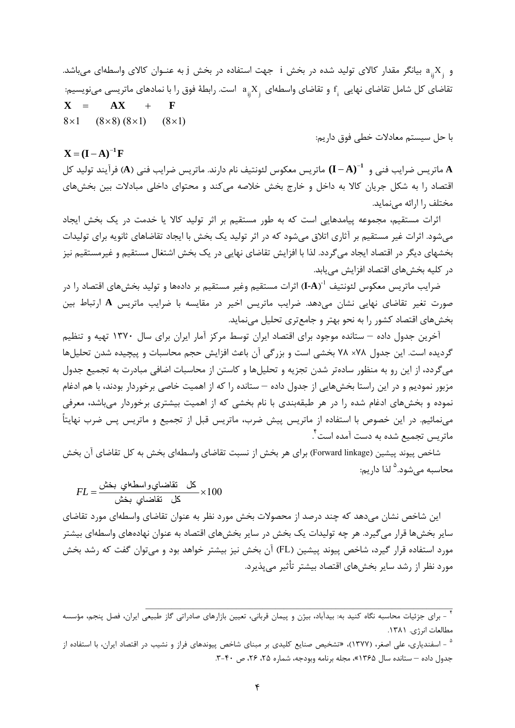و  $X_i$  بيانگر مقدار كالاي توليد شده در بخش i جهت استفاده در بخش j به عنـوان كالاي واسطهاي ميباشد. تقاضای کل شامل تقاضای نهایی  $\mathrm{f_{i}^{}}$  و تقاضای واسطهای  $\mathrm{a_{ij}^{}}X_{\mathrm{j}}$  است. رابطهٔ فوق را با نمادهای ماتریسی مینویسیم:  $8\times1$   $(8\times8)(8\times1)$   $(8\times1)$  $X = AX + F$ 

با حل سيستم معادلات خطي فوق داريم:

#### $X = (I - A)^{-1}F$

 ماتريس معكوس لئونتيف نام دارند. ماتريس ضرايب فني (**A** (فرآيند توليد كل **)A I (<sup>1</sup> A** ماتريس ضرايب فني و اقتصاد را به شكل جريان كالا به داخل و خارج بخش خلاصه ميكند و محتواي داخلي مبادلات بين بخشهاي مختلف را ارائه مينمايد.

اثرات مستقيم، مجموعه پيامدهايي است كه به طور مستقيم بر اثر توليد كالا يا خدمت در يك بخش ايجاد ميشود. اثرات غير مستقيم بر آثاري اتلاق ميشود كه در اثر توليد يك بخش با ايجاد تقاضاهاي ثانويه براي توليدات بخشهاي ديگر در اقتصاد ايجاد ميگردد. لذا با افزايش تقاضاي نهايي در يك بخش اشتغال مستقيم و غيرمستقيم نيز در كليه بخشهاي اقتصاد افزايش مييابد.

ضرايب ماتريس معكوس لئونتيف **"(I-A**) اثرات مستقيم وغير مستقيم بر دادهها و توليد بخشهاى اقتصاد را در صورت تغير تقاضاي نهايي نشان ميدهد. ضرايب ماتريس اخير در مقايسه با ضرايب ماتريس **A** ارتباط بين بخشهاي اقتصاد كشور را به نحو بهتر و جامعتري تحليل مينمايد.

آخرين جدول داده – ستانده موجود براي اقتصاد ايران توسط مركز آمار ايران براي سال 1370 تهيه و تنظيم گرديده است. اين جدول 78× 78 بخشي است و بزرگي آن باعث افزايش حجم محاسبات و پيچيده شدن تحليلها ميگردد، از اين رو به منظور سادهتر شدن تجزيه و تحليلها و كاستن از محاسبات اضافي مبادرت به تجميع جدول مزبور نموديم و در اين راستا بخشهايي از جدول داده – ستانده را كه از اهميت خاصي برخوردار بودند، با هم ادغام نموده و بخشهاي ادغام شده را در هر طبقهبندي با نام بخشي كه از اهميت بيشتري برخوردار ميباشد، معرفي مينمائيم. در اين خصوص با استفاده از ماتريس پيش ضرب، ماتريس قبل از تجميع و ماتريس پس ضرب نهايتاً . 4 ماتريس تجميع شده به دست آمده است

شاخص پيوند پيشين (Forward linkage) براي هر بخش از نسبت تقاضاي واسطهاي بخش به كل تقاضاي آن بخش محاسبه مي شود.<sup>۵</sup> لذا داريم:

$$
FL = \frac{D\ddot{\phi} + D\dot{\phi}}{2}
$$

اين شاخص نشان ميدهد كه چند درصد از محصولات بخش مورد نظر به عنوان تقاضاي واسطهاي مورد تقاضاي ساير بخشها قرار ميگيرد. هر چه توليدات يك بخش در ساير بخشهاي اقتصاد به عنوان نهادههاي واسطهاي بيشتر مورد استفاده قرار گيرد، شاخص پيوند پيشين (FL (آن بخش نيز بيشتر خواهد بود و ميتوان گفت كه رشد بخش مورد نظر از رشد ساير بخشهاي اقتصاد بيشتر تأثير ميپذيرد.

<sup>&</sup>lt;del>.</del><br>\* - براي جزئيات محاسبه نگاه كنيد به: بيدآباد، بيژن و پيمان قرباني، تعيين بازارهاي صادراتي گاز طبيعي ايران، فصل پنجم، مؤسسه مطالعات انرژي. .1381

<sup>&</sup>lt;sup>ه</sup> – اسفندياري، علي اصغر، (١٣٧٧)، «تشخيص صنايع كليدي بر مبناي شاخص پيوندهاي فراز و نشيب در اقتصاد ايران، با استفاده از جدول داده – ستانده سال 1365»، مجله برنامه وبودجه، شماره ،25 ،26 ص .3-40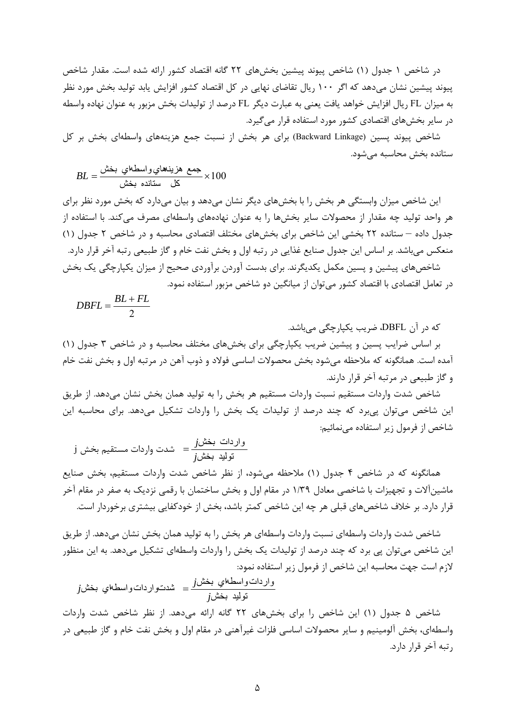در شاخص 1 جدول (1) شاخص پيوند پيشين بخشهاي 22 گانه اقتصاد كشور ارائه شده است. مقدار شاخص پيوند پيشين نشان ميدهد كه اگر 100 ريال تقاضاي نهايي در كل اقتصاد كشور افزايش يابد توليد بخش مورد نظر به ميزان FL ريال افزايش خواهد يافت يعني به عبارت ديگر FL درصد از توليدات بخش مزبور به عنوان نهاده واسطه در ساير بخشهاي اقتصادي كشور مورد استفاده قرار ميگيرد.

شاخص پيوند پسين (Backward Linkage) براي هر بخش از نسبت جمع هزينههاي واسطهاي بخش بر كل ستانده بخش محاسبه ميشود.

$$
BL = \frac{\text{mink} \pm \text{mink}}{\text{d}\Omega} \times 100
$$

اين شاخص ميزان وابستگي هر بخش را با بخشهاي ديگر نشان ميدهد و بيان ميدارد كه بخش مورد نظر براي هر واحد توليد چه مقدار از محصولات ساير بخشها را به عنوان نهادههاي واسطهاي مصرف ميكند. با استفاده از جدول داده – ستانده 22 بخشي اين شاخص براي بخشهاي مختلف اقتصادي محاسبه و در شاخص 2 جدول (1) منعكس ميباشد. بر اساس اين جدول صنايع غذايي در رتبه اول و بخش نفت خام و گاز طبيعي رتبه آخر قرار دارد. شاخصهاي پيشين و پسين مكمل يكديگرند. براي بدست آوردن برآوردي صحيح از ميزان يكپارچگي يك بخش در تعامل اقتصادي با اقتصاد كشور ميتوان از ميانگين دو شاخص مزبور استفاده نمود.

$$
DBFL = \frac{BL + FL}{2}
$$

كه در آن DBFL، ضريب يكپارچگي ميباشد.

بر اساس ضرايب پسين و پيشين ضريب يكپارچگي براي بخشهاي مختلف محاسبه و در شاخص 3 جدول (1) آمده است. همانگونه كه ملاحظه ميشود بخش محصولات اساسي فولاد و ذوب آهن در مرتبه اول و بخش نفت خام و گاز طبيعي در مرتبه آخر قرار دارند.

شاخص شدت واردات مستقيم نسبت واردات مستقيم هر بخش را به توليد همان بخش نشان ميدهد. از طريق اين شاخص ميتوان پيبرد كه چند درصد از توليدات يك بخش را واردات تشكيل ميدهد. براي محاسبه اين شاخص از فرمول زير استفاده مينمائيم:

$$
j \stackrel{\text{(1)}{def}}{=} \text{ since } j
$$

همانگونه كه در شاخص 4 جدول (1) ملاحظه ميشود، از نظر شاخص شدت واردات مستقيم، بخش صنايع ماشينآلات و تجهيزات با شاخصي معادل 1/39 در مقام اول و بخش ساختمان با رقمي نزديك به صفر در مقام آخر قرار دارد. بر خلاف شاخصهاي قبلي هر چه اين شاخص كمتر باشد، بخش از خودكفايي بيشتري برخوردار است.

شاخص شدت واردات واسطهاي نسبت واردات واسطهاي هر بخش را به توليد همان بخش نشان ميدهد. از طريق اين شاخص ميتوان پي برد كه چند درصد از توليدات يك بخش را واردات واسطهاي تشكيل ميدهد. به اين منظور لازم است جهت محاسبه اين شاخص از فرمول زير استفاده نمود:

$$
j\omega
$$
واسط
$$
j\omega
$$
توليد بخش
$$
j\omega
$$
توليد بخش
$$
j\omega
$$
توليد بخش
$$
j\omega
$$

شاخص 5 جدول (1) اين شاخص را براي بخشهاي 22 گانه ارائه ميدهد. از نظر شاخص شدت واردات واسطهاي، بخش آلومينيم و ساير محصولات اساسي فلزات غيرآهني در مقام اول و بخش نفت خام و گاز طبيعي در رتبه آخر قرار دارد.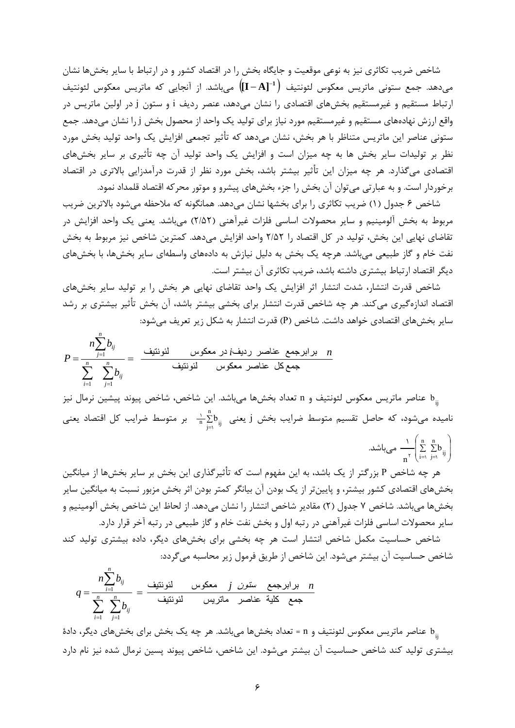شاخص ضريب تكاثري نيز به نوعي موقعيت و جايگاه بخش را در اقتصاد كشور و در ارتباط با ساير بخشها نشان ميدهد. جمع ستوني ماتريس معكوس لئونتيف ميباشد. از آنجايي كه ماتريس معكوس لئونتيف **]A I [<sup>1</sup>** ارتباط مستقيم و غيرمستقيم بخشهاي اقتصادي را نشان ميدهد، عنصر رديف i و ستون j در اولين ماتريس در واقع ارزش نهادههاي مستقيم و غيرمستقيم مورد نياز براي توليد يك واحد از محصول بخش j را نشان ميدهد. جمع ستوني عناصر اين ماتريس متناظر با هر بخش، نشان ميدهد كه تأثير تجمعي افزايش يك واحد توليد بخش مورد نظر بر توليدات ساير بخش ها به چه ميزان است و افزايش يك واحد توليد آن چه تأثيري بر ساير بخشهاي اقتصادي ميگذارد. هر چه ميزان اين تأثير بيشتر باشد، بخش مورد نظر از قدرت درآمدزايي بالاتري در اقتصاد برخوردار است. و به عبارتي ميتوان آن بخش را جزء بخشهاي پيشرو و موتور محركه اقتصاد قلمداد نمود.

شاخص 6 جدول (1) ضريب تكاثري را براي بخشها نشان ميدهد. همانگونه كه ملاحظه ميشود بالاترين ضريب مربوط به بخش آلومينيم و ساير محصولات اساسي فلزات غيرآهني (2/52) ميباشد. يعني يك واحد افزايش در تقاضاي نهايي اين بخش، توليد در كل اقتصاد را 2/52 واحد افزايش ميدهد. كمترين شاخص نيز مربوط به بخش نفت خام و گاز طبيعي ميباشد. هرچه يك بخش به دليل نيازش به دادههاي واسطهاي ساير بخشها، با بخشهاي ديگر اقتصاد ارتباط بيشتري داشته باشد، ضريب تكاثري آن بيشتر است.

شاخص قدرت انتشار، شدت انتشار اثر افزايش يك واحد تقاضاي نهايي هر بخش را بر توليد ساير بخشهاي اقتصاد اندازهگيري ميكند. هر چه شاخص قدرت انتشار براي بخشي بيشتر باشد، آن بخش تأثير بيشتري بر رشد ساير بخشهاي اقتصادي خواهد داشت. شاخص (P (قدرت انتشار به شكل زير تعريف ميشود:

$$
P = \frac{n \sum_{j=1}^{n} b_{ij}}{\sum_{i=1}^{n} \sum_{j=1}^{n} b_{ij}} = \frac{\frac{1}{\sum_{i=1}^{n} b_{ij}}}{\sum_{j=1}^{n} b_{ij}}
$$

*n*

*n*

عناصر ماتريس معكوس لئونتيف و n تعداد بخشها ميباشد. اين شاخص، شاخص پيوند پيشين نرمال نيز  $\mathrm{b}_{\mathrm{ij}}$ نامیده میشود، که حاصل تقسیم متوسط ضرایب بخش j یعنی  $\frac{1}{n}\sum\limits_{j=1}^n b_{ij}$  بر متوسط ضرایب کل اقتصاد یعنی 1

$$
\text{and} \quad \sum_{n=1}^{n} \left( \sum_{i=1}^{n} \sum_{j=1}^{n} b_{ij} \right)
$$

هر چه شاخص P بزرگتر از يك باشد، به اين مفهوم است كه تأثيرگذاري اين بخش بر ساير بخشها از ميانگين بخشهاي اقتصادي كشور بيشتر، و پايينتر از يك بودن آن بيانگر كمتر بودن اثر بخش مزبور نسبت به ميانگين ساير بخشها ميباشد. شاخص 7 جدول (2) مقادير شاخص انتشار را نشان ميدهد. از لحاظ اين شاخص بخش آلومينيم و ساير محصولات اساسي فلزات غيرآهني در رتبه اول و بخش نفت خام و گاز طبيعي در رتبه آخر قرار دارد.

شاخص حساسيت مكمل شاخص انتشار است هر چه بخشي براي بخشهاي ديگر، داده بيشتري توليد كند شاخص حساسيت آن بيشتر ميشود. اين شاخص از طريق فرمول زير محاسبه ميگردد:

$$
q = \frac{n \sum_{i=1}^{n} b_{ij}}{\sum_{i=1}^{n} \sum_{j=1}^{n} b_{ij}} = \frac{\frac{1}{\prod_{i=1}^{n} b_{ij}}}{\sum_{j=1}^{n} b_{ij}}
$$

ناصر ماتريس معكوس لئونتيف و n = تعداد بخشها ميباشد. هر چه يک بخش براي بخشهاي ديگر، دادهٔ  $\rm b_{ij}$ بيشتري توليد كند شاخص حساسيت آن بيشتر ميشود. اين شاخص، شاخص پيوند پسين نرمال شده نيز نام دارد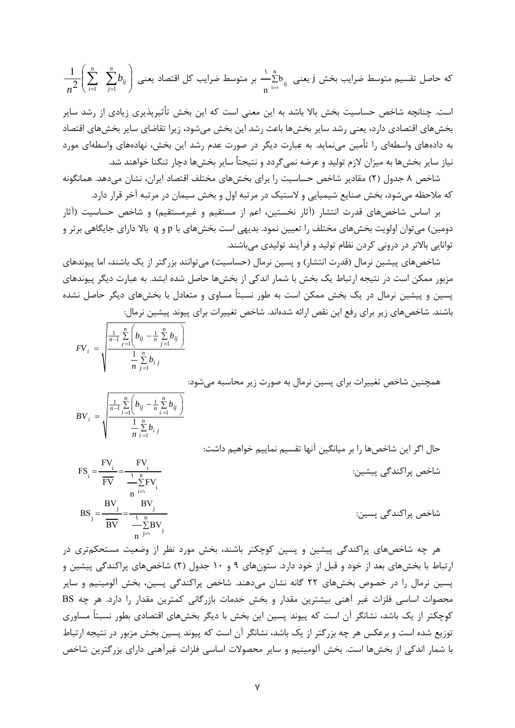$$
\frac{1}{n^2}\Biggl(\sum_{i=1}^n\sum_{j=1}^n b_{ij}\Biggr)
$$
ه جاصل تقسيم متوسط فرایب کل اقتصاد یعنی 
$$
\frac{1}{n}\sum_{i=1}^n b_{ij}
$$

است. چنانچه شاخص حساسيت بخش بالا باشد به اين معني است كه اين بخش تأثيرپذيري زيادي از رشد ساير بخشهاي اقتصادي دارد، يعني رشد ساير بخشها باعث رشد اين بخش ميشود، زيرا تقاضاي ساير بخشهاي اقتصاد به دادههاي واسطهاي را تأمين مينمايد. به عبارت ديگر در صورت عدم رشد اين بخش، نهادههاي واسطهاي مورد نياز ساير بخشها به ميزان لازم توليد و عرضه نميگردد و نتيجتاٌ ساير بخشها دچار تنگنا خواهند شد.

شاخص 8 جدول (2) مقادير شاخص حساسيت را براي بخشهاي مختلف اقتصاد ايران، نشان ميدهد. همانگونه كه ملاحظه ميشود، بخش صنايع شيميايي و لاستيك در مرتبه اول و بخش سيمان در مرتبه آخر قرار دارد.

بر اساس شاخصهاي قدرت انتشار (آثار نخستين، اعم از مستقيم و غيرمستقيم) و شاخص حساسيت (آثار دومين) ميتوان اولويت بخشهاي مختلف را تعيين نمود. بديهي است بخشهاي با p و q بالا داراي جايگاهي برتر و توانايي بالاتر در دروني كردن نظام توليد و فرآيند توليدي ميباشند.

شاخصهاي پيشين نرمال (قدرت انتشار) و پسين نرمال (حساسيت) ميتوانند بزرگتر از يك باشند، اما پيوندهاي مزبور ممكن است در نتيجه ارتباط يك بخش با شمار اندكي از بخشها حاصل شده ابشد. به عبارت ديگر پيوندهاي پسين و پيشين نرمال در يك بخش ممكن است به طور نسبتاً مساوي و متعادل با بخشهاي ديگر حاصل نشده باشند. شاخصهاي زير براي رفع اين نقص ارائه شدهاند. شاخص تغييرات براي پيوند پيشين نرمال:

$$
FV_i = \sqrt{\frac{\frac{1}{n-1} \sum_{j=1}^{n} \left( b_{ij} - \frac{1}{n} \sum_{j=1}^{n} b_{ij} \right)}{\frac{1}{n} \sum_{j=1}^{n} b_{ij}}}
$$

همچنين شاخص تغييرات براي پسين نرمال به صورت زير محاسبه ميشود:

$$
BV_i = \sqrt{\frac{\frac{1}{n-1} \sum_{i=1}^{n} \left( b_{ij} - \frac{1}{n} \sum_{i=1}^{n} b_{ij} \right)}{\frac{1}{n} \sum_{i=1}^{n} b_{ij}}}
$$

حال اگر اين شاخصها را بر ميانگين آنها تقسيم نماييم خواهيم داشت:

| $\mathbf n$<br>FV<br>$n^{i=1}$ | شاخص پراکندگی پیشین: |
|--------------------------------|----------------------|
| BV<br>BV<br>$n^{j=1}$          | شاخص پراکندگی پسین:  |

هر چه شاخصهاي پراكندگي پيشين و پسين كوچكتر باشند، بخش مورد نظر از وضعيت مستحكمتري در ارتباط با بخشهاي بعد از خود و قبل از خود دارد. ستونهاي 9 و 10 جدول (2) شاخصهاي پراكندگي پيشين و پسين نرمال را در خصوص بخشهاي 22 گانه نشان ميدهند. شاخص پراكندگي پسين، بخش آلومينيم و ساير محصوات اساسي فلزات غير آهني بيشترين مقدار و بخش خدمات بازرگاني كمترين مقدار را دارد. هر چه BS كوچكتر از يك باشد، نشانگر آن است كه پيوند پسين اين بخش با ديگر بخشهاي اقتصادي بطور نسبتاً مساوري توزيع شده است و برعكس هر چه بزرگتر از يك باشد، نشانگر آن است كه پيوند پسين بخش مزبور در نتيجه ارتباط با شمار اندكي از بخشها است. بخش آلومينيم و ساير محصولات اساسي فلزات غيرآهني داراي بزرگترين شاخص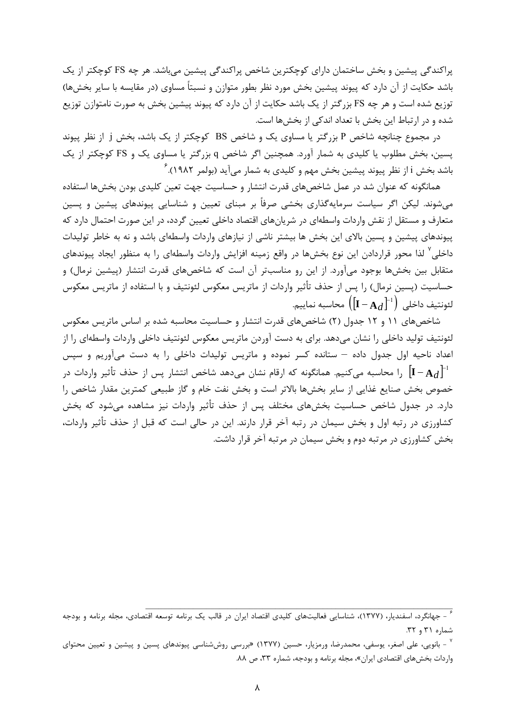پراكندگي پيشين و بخش ساختمان داراي كوچكترين شاخص پراكندگي پيشين ميباشد. هر چه FS كوچكتر از يك باشد حكايت از آن دارد كه پيوند پيشين بخش مورد نظر بطور متوازن و نسبتاً مساوي (در مقايسه با ساير بخشها) توزيع شده است و هر چه FS بزرگتر از يك باشد حكايت از آن دارد كه پيوند پيشين بخش به صورت نامتوازن توزيع شده و در ارتباط اين بخش با تعداد اندكي از بخشها است.

در مجموع چنانچه شاخص P بزرگتر يا مساوي يك و شاخص BS كوچكتر از يك باشد، بخش j از نظر پيوند پسين، بخش مطلوب يا كليدي به شمار آورد. همچنين اگر شاخص q بزرگتر يا مساوي يك و FS كوچكتر از يك <sup>6</sup> باشد بخش <sup>i</sup> از نظر پيوند پيشين بخش مهم و كليدي به شمار ميآيد (بولمر 1982).

همانگونه كه عنوان شد در عمل شاخصهاي قدرت انتشار و حساسيت جهت تعين كليدي بودن بخشها استفاده ميشوند. ليكن اگر سياست سرمايهگذاري بخشي صرفاً بر مبناي تعيين و شناسايي پيوندهاي پيشين و پسين متعارف و مستقل از نقش واردات واسطهاي در شريانهاي اقتصاد داخلي تعيين گردد، در اين صورت احتمال دارد كه پيوندهاي پيشين و پسين بالاي اين بخش ها بيشتر ناشي از نيازهاي واردات واسطهاي باشد و نه به خاطر توليدات داخلي <sup>۷</sup> لذا محور قراردادن اين نوع بخشها در واقع زمينه افزايش واردات واسطهاي را به منظور ايجاد پيوندهاي متقابل بين بخشها بوجود ميآورد. از اين رو مناسبتر آن است كه شاخصهاي قدرت انتشار (پيشين نرمال) و حساسيت (پسين نرمال) را پس از حذف تأثير واردات از ماتريس معكوس لئونتيف و با استفاده از ماتريس معكوس داخلي لئونتيف <sup>1</sup> **<sup>I</sup> <sup>A</sup>***d* .نماييم محاسبه

شاخصهاي 11 و 12 جدول (2) شاخصهاي قدرت انتشار و حساسيت محاسبه شده بر اساس ماتريس معكوس لئونتيف توليد داخلي را نشان ميدهد. براي به دست آوردن ماتريس معكوس لئونتيف داخلي واردات واسطهاي را از اعداد ناحيه اول جدول داده – ستانده كسر نموده و ماتريس توليدات داخلي را به دست ميآوريم و سپس <sup>1</sup> را محاسبه كنيم. همانگونه كه ارقام نشان ميدهد شاخص انتشار پس از حذف تأثير واردات در **A***d* **I** مي خصوص بخش صنايع غذايي از ساير بخشها بالاتر است و بخش نفت خام و گاز طبيعي كمترين مقدار شاخص را دارد. در جدول شاخص حساسيت بخشهاي مختلف پس از حذف تأثير واردات نيز مشاهده ميشود كه بخش كشاورزي در رتبه اول و بخش سيمان در رتبه آخر قرار دارند. اين در حالي است كه قبل از حذف تأثير واردات، بخش كشاورزي در مرتبه دوم و بخش سيمان در مرتبه آخر قرار داشت.

ء<br>\* - جهانگرد، اسفنديار، (١٣٧٧)، شناسايي فعاليتهاي كليدي اقتصاد ايران در قالب يک برنامه توسعه اقتصادي، مجله برنامه و بودجه شماره 31 و .32

<sup>-</sup> بانويي، علي اصغر، يوسفي، محمدرضا، ورمزيار، حسين (١٣٧٧) «بررسي روششناسي پيوندهاي پسين و پيشين و تعيين محتواي واردات بخشهاي اقتصادي ايران»، مجله برنامه و بودجه، شماره ،33 ص .88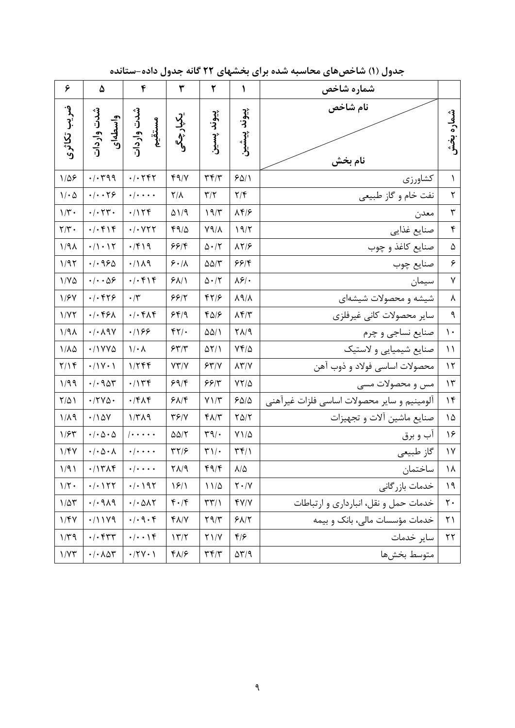| ۶                               | ۵                                                       | ۴                                                  | ٣                                       | ٢                                  | ١                                         | شماره شاخص                                  |                       |
|---------------------------------|---------------------------------------------------------|----------------------------------------------------|-----------------------------------------|------------------------------------|-------------------------------------------|---------------------------------------------|-----------------------|
| ضريب تكاثرى                     | شدت واردات<br>واسطهای                                   | شدت واردات<br>مستقيم                               | یکپارچگی                                | پيوند پسين                         | پيوند پيشين                               | نام شاخص<br>نام بخش                         | شماره بخش             |
| $1/\Delta$ ۶                    | $\cdot/\cdot$ ۳۹۹                                       | $\cdot$ / $\cdot$ $\uparrow$ $\uparrow$ $\uparrow$ | 49/                                     | $\mathbf{r} \mathbf{r}/\mathbf{r}$ | 901                                       | كشاورزى                                     | 1                     |
| $\mathcal{N} \cdot \mathcal{Q}$ | $\cdot/\cdot\cdot$ ٢۶                                   | $\cdot/\cdot\cdot\cdot$                            | $Y/\lambda$                             | $\mathbf{r}/\mathbf{r}$            | $\mathbf{Y}/\mathbf{Y}$                   | نفت خام و گاز طبیعی                         | $\mathbf{r}$          |
| $1/\mathbf{r}$ .                | $\cdot/\cdot$ $\uparrow\uparrow\cdot$                   | .7158                                              | $\Delta$ \/9                            | 19/7                               | $\lambda f/\epsilon$                      | معدن                                        | $\mathbf{\breve{v}}$  |
| $\mathbf{Y}/\mathbf{Y}$ .       | $. -F $                                                 | $\cdot$ / $\cdot$ $\vee$ $\vee$ $\vee$             | 410                                     | $V9/\lambda$                       | 19/7                                      | صنايع غذايي                                 | $\pmb{\mathsf{f}}$    |
| 1/9                             | $\cdot/\right) \cdot \right) \cdot$                     | $\cdot$ /۴۱۹                                       | ۶۶۱۴                                    | $\Delta \cdot / \text{K}$          | $\lambda Y/F$                             | صنایع کاغذ و چوب                            | ۵                     |
| 1/97                            | .4920                                                   | .7119                                              | 5.11                                    | $\Delta\Delta/\Upsilon$            | 99/                                       | صنايع چوب                                   | ۶                     |
| $1/Y\Delta$                     | $\cdot/\cdot\cdot\Delta$ ۶                              | $. -F $                                            | 51/1                                    | $\Delta \cdot / \text{K}$          | $\lambda$ ۶/.                             | سيمان                                       | ٧                     |
| 1/FV                            | $.$ $ .$ $575$                                          | $\cdot/\tau$                                       | 55/7                                    | 87/8                               | $\lambda$ 9/ $\lambda$                    | شیشه و محصولات شیشهای                       | ٨                     |
| 1/YY                            | $.$ $\cdot$ $\uparrow$ $\uparrow$ $\uparrow$ $\uparrow$ | $\cdot/\cdot$ ۴۸۴                                  | 549                                     | $f\Delta$                          | $\lambda$ ۴/٣                             | ساير محصولات كانى غيرفلزي                   | $\mathbf{\mathsf{q}}$ |
| 1/9                             | $\cdot/\cdot \wedge$ 97                                 | .799                                               | $\mathfrak{f}\mathfrak{f}/\mathfrak{f}$ | $\Delta\Delta/\Lambda$             | $\Gamma \Lambda / 9$                      | صنايع نساجي و چرم                           | $\backslash$ .        |
| $1/\lambda\Delta$               | .71YV                                                   | $1/\cdot \Lambda$                                  | 55/7                                    | $\Delta Y/1$                       | $Yf/\Delta$                               | صنایع شیمیایی و لاستیک                      | $\setminus$           |
| Y/Y                             | $\cdot/\gamma \cdot \gamma$                             | 1/788                                              | YY/Y                                    | 55/1                               | $\lambda \Upsilon / \Upsilon$             | محصولات اساسي فولاد و ذوب آهن               | $\mathcal{N}$         |
| 1/99                            | $\cdot$ / $\cdot$ 905                                   | $\cdot$ / $\uparrow$ ۴                             | 59/5                                    | 55/7                               | $YY/\Delta$                               | مس و محصولات مسی                            | $\mathcal{N}$         |
| $Y/\Delta$                      | $\cdot$ /٢٧ $\circ$                                     | $\cdot$ /۴ $\wedge$ ۴                              | 817                                     | $Y \setminus / \tilde{Y}$          | $S\Delta/\Delta$                          | آلومينيم و ساير محصولات اساسي فلزات غيرآهني | 16                    |
| $1/\lambda$ 9                   | .780                                                    | $1/\Upsilon\Lambda$ 9                              | YS/Y                                    | $f\Lambda/\tau$                    | $Y\Delta/Y$                               | صنایع ماشین آلات و تجهیزات                  | ۱۵                    |
| 1/54                            | $\cdot$ / $\cdot$ $\Delta$ $\cdot$ $\Delta$             | $  \cdots$                                         | $\Delta\Delta/\Upsilon$                 | $\mathbf{r} \mathbf{q}/\mathbf{r}$ | $Y1/\Delta$                               | آب و برق                                    | ۱۶                    |
| 1/FV                            | $\cdot/\cdot \Delta \cdot \Lambda$                      | $\cdot$ / $\cdot$ $\cdot$ $\cdot$                  | ۳۲/۶                                    | $\mathbf{r}\wedge\mathbf{r}$       | $\upmu$                                   | گاز طبیعی                                   | $\gamma\gamma$        |
| 1/91                            | .71719                                                  | $\cdot/\cdot\cdot\cdot$                            | $\Gamma \Lambda / 9$                    | 4/6                                | $\lambda/\Delta$                          | ساختمان                                     | $\lambda$             |
| $1/\Upsilon$ .                  | $\cdot/\cdot$ $\setminus$ $\uparrow$ $\uparrow$         | $\cdot/\cdot$ $\gamma\gamma$                       | 19/1                                    | $11/\Delta$                        | $\mathbf{Y}\boldsymbol{\cdot}/\mathbf{Y}$ | خدمات بازر گانی                             | 19                    |
| $1/\Delta \mathcal{r}$          | .4.9.4                                                  | $\cdot/\cdot$ $\Delta \Lambda \Upsilon$            | $f \cdot / f$                           | $\Upsilon \Upsilon / \Upsilon$     | Y/Y                                       | خدمات حمل و نقل، انبارداری و ارتباطات       | $\mathsf{r}\cdot$     |
| 1/FV                            | .71119                                                  | $\cdot/\cdot$ 9 $\cdot$ $\circ$                    | $f\Lambda/V$                            | $Y \mathcal{A}/\mathcal{r}$        | 81/7                                      | خدمات مؤسسات مالی، بانک و بیمه              | ۲۱                    |
| $1/\Upsilon$ 9                  | $\cdot/\cdot$ frr                                       | $\cdot/\cdot\cdot\setminus f$                      | 177                                     | $Y \setminus / Y$                  | $f/\mathcal{F}$                           | ساير خدمات                                  | $\tau\tau$            |
| 1/YY                            | $\cdot/\cdot \wedge \Delta \Upsilon$                    | $\cdot$ /۲ $\vee$ $\cdot$ )                        | $f\Lambda/f$                            | $\mathbf{r}$                       | $\Delta \Upsilon/T$                       | متوسط بخشها                                 |                       |

**جدول (1) شاخصهاي محاسبه شده براي بخشهاي 22 گانه جدول داده-ستانده**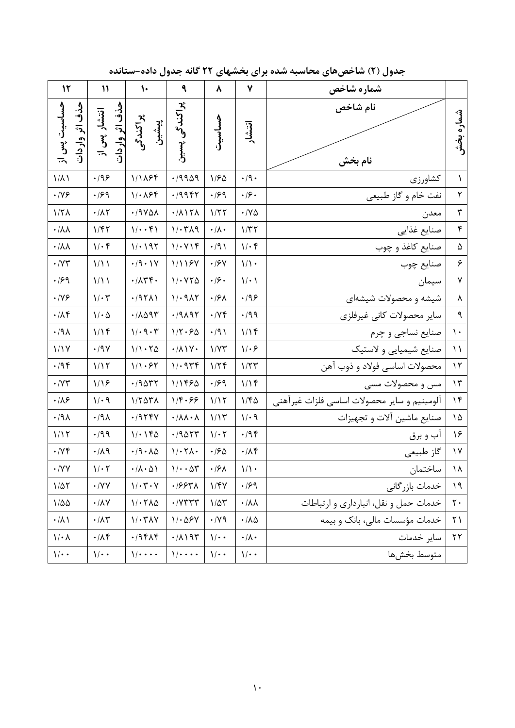| جدول (۲) شاخصهای محاسبه شده برای بخشهای ۲۲ گانه جدول داده-ستانده |  |  |  |
|------------------------------------------------------------------|--|--|--|
|------------------------------------------------------------------|--|--|--|

| $\mathcal{N}$                  | $\mathcal{V}$                   | $\mathcal{N}$                           | ٩                                  | ٨                               | ٧                      | شماره شاخص                                  |                            |
|--------------------------------|---------------------------------|-----------------------------------------|------------------------------------|---------------------------------|------------------------|---------------------------------------------|----------------------------|
| حساسيت پس از<br>حذف اثر واردات | حذف اثر واردات<br>انتشار پس از  | پراکندگی<br>پېشىن                       | پراکندگی پسین                      | حساسيت                          | انتشار                 | نام شاخص<br>نام بخش                         | شماره بخش                  |
| $1/\lambda$                    | $\cdot$ /98                     | 1/1184                                  | .19909                             | 1/50                            | $\cdot$ /9 $\cdot$     | كشاورزي                                     | $\lambda$                  |
| $\cdot$ /Y $\mathcal F$        | $\cdot$ /۶۹                     | $1/\cdot \lambda$ ۶۴                    | .79987                             | $\cdot$ /۶۹                     | $\cdot$ /۶ $\cdot$     | نفت خام و گاز طبیعی                         | $\mathbf{\mathsf{Y}}$      |
| $1/7\Lambda$                   | $\cdot/\lambda\mathbf{Y}$       | .19YAN                                  | $\cdot/\lambda$                    | 1/77                            | $\cdot$ / Y $\Delta$   | معدن                                        | $\mathbf{\breve{v}}$       |
| $\cdot/\lambda\lambda$         | 1/FY                            | $1/\cdot \cdot f$                       | $1/\cdot 7\lambda$ 9               | $\cdot/\lambda \cdot$           | 1/TT                   | صنايع غذايي                                 | $\pmb{\mathsf{f}}$         |
| $\cdot/\lambda\lambda$         | $1/\cdot f$                     | 1/2197                                  | $1/\cdot Y$                        | $\cdot$ /9)                     | $1/\cdot f$            | صنایع کاغذ و چوب                            | ۵                          |
| $\cdot$ / $\vee\uparrow$       | 1/11                            | $\cdot$ /9 $\cdot$ ) $\vee$             | 1/1197                             | $\cdot$ / $\mathcal{F}$ Y       | $1/\sqrt{ }$           | صنايع چوب                                   | $\varphi$                  |
| $\cdot$ /۶۹                    | 1/11                            | $\cdot/\Lambda \Upsilon \Upsilon \cdot$ | $1/14Y\Delta$                      | $\cdot$ / $\mathcal{S}$ $\cdot$ | 1/2                    | سيمان                                       | ٧                          |
| $\cdot$ /Y $\epsilon$          | $1/\cdot 7$                     | .79711                                  | 1/19AT                             | $\cdot$ /۶۸                     | .199                   | شیشه و محصولات شیشهای                       | $\pmb{\lambda}$            |
| $\cdot/\Lambda f$              | $\mathcal{N} \cdot \mathcal{Q}$ | $\cdot$ /1095                           | .79197                             | $\cdot$ / $\vee \uparrow$       | $\cdot$ /99            | سایر محصولات کانی غیرفلزی                   | $\mathbf{\mathsf{q}}$      |
| .44                            | 1/19                            | $1/\cdot 9 \cdot 7$                     | $1/\Upsilon \cdot 50$              | $\cdot$ /9)                     | 1/19                   | صنايع نساجي و چرم                           | $\mathcal{N}$              |
| 1/1Y                           | $\cdot$ /9 $\vee$               | 1/1.70                                  | $\cdot/\lambda$                    | 1/YY                            | $1/\cdot 5$            | صنایع شیمیایی و لاستیک                      | $\lambda$                  |
| $\cdot$ /9 $\circ$             | 1/17                            | 1/1.57                                  | 1/0.944                            | 1/7f                            | 1/TT                   | محصولات اساسي فولاد و ذوب آهن               | $\ensuremath{\mathcal{N}}$ |
| $\cdot$ / $\vee\uparrow$       | 1/19                            | .79047                                  | 111480                             | .199                            | 1/19                   | مس و محصولات مسی                            | $\mathcal{N}$              |
| $\cdot/\lambda$ ۶              | 1/29                            | $1/\Upsilon \Delta \Upsilon \Lambda$    | $1/\mathfrak{f}\cdot \mathfrak{S}$ | 1/15                            | 1/FQ                   | آلومينيم و ساير محصولات اساسي فلزات غيرآهني | $\gamma$                   |
| $\cdot$ /91                    | $\cdot$ /91                     | .7979V                                  | $\cdot/\lambda\lambda\cdot\lambda$ | 1/15                            | $1/\cdot$ 9            | صنایع ماشین آلات و تجهیزات                  | ١۵ $\delta$                |
| 1/17                           | $\cdot$ /99                     | 1/190                                   | .79057                             | $1/\cdot 7$                     | $\cdot$ /9 $\circ$     | آب و برق                                    | ۱۶                         |
| $\cdot/\gamma$ ۴               | $\cdot/\lambda$ 9               | $\cdot$ /9 $\cdot$ $\wedge$ $\Delta$    | $1/\cdot 7\lambda \cdot$           | $\cdot$ /20                     | $\cdot/\Lambda f$      | گاز طبیعی                                   | $\backslash\!\!\vee$       |
| $\cdot$ /YV                    | $1/\cdot 7$                     | $\cdot/\lambda\cdot\Delta$              | $1/\cdot \cdot \Delta \tau$        | $\cdot$ /۶۸                     | $1/\lambda$ .          | ساختمان                                     |                            |
| $1/\Delta\Upsilon$             | $\boldsymbol{\cdot}$ /<br>YV    | $1/\cdot 7 \cdot 7$                     | 19971                              | 1/FV                            | $\cdot$ /۶۹            | خدمات بازرگانی                              | $\lambda$                  |
| $1/\Delta\Delta$               | $\cdot/\lambda\mathrm{V}$       | 1/17A <sub>0</sub>                      | $\cdot$ / $V$ $\tau$ $\tau$ $\tau$ | $1/\Delta \mathcal{r}$          | $\cdot/\lambda\lambda$ | خدمات حمل و نقل، انبارداری و ارتباطات       | $\mathsf{r}$ .             |
| $\cdot/\lambda$                | $\cdot/\Lambda \Upsilon$        | $1/\cdot$ $\tau$ $\lambda$ $\gamma$     | $1/\cdot \Delta$ ۶۷                | $\cdot$ / $\vee$ 9              | $\cdot/\lambda\Delta$  | خدمات مؤسسات مالی، بانک و بیمه              | $\uparrow$ )               |
| $1/\cdot \Lambda$              | $\cdot/\Lambda f$               | .798A                                   | $\cdot/\lambda$ ) 95               | $1/\cdot$                       | $\cdot/\lambda \cdot$  | ساير خدمات                                  | $\tau\tau$                 |
| $1/\cdot$                      | $1/$ .                          | $1/$                                    | $1/$                               | $1/\cdot$                       | $1/\cdot$              | متوسط بخشها                                 |                            |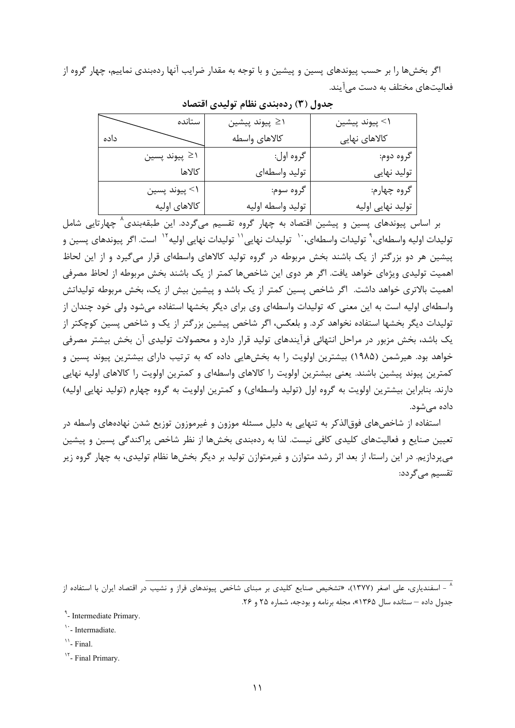اگر بخشها را بر حسب پيوندهاي پسين و پيشين و با توجه به مقدار ضرايب آنها ردهبندي نماييم، چهار گروه از فعاليتهاي مختلف به دست ميآيند.

| ستانده               | \≤ پيوند پيشين    | \> پيوند پيشين    |
|----------------------|-------------------|-------------------|
| داده                 | كالاهاى واسطه     | کالاهای نهایی     |
| اح پيوند پسين $\geq$ | گروه اول:         | گروه دوم:         |
| كالاها               | توليد واسطهاى     | تولید نهایی       |
| \> پيوند پسين        | گروه سوم:         | گروه چهارم:       |
| كالاهاى اوليه        | توليد واسطه اوليه | تولید نهایی اولیه |

**جدول (3) ردهبندي نظام توليدي اقتصاد** 

بر اساس پيوندهاى پسين و پيشين اقتصاد به چهار گروه تقسيم مىگردد. اين طبقهبندى<sup>^</sup> چهارتايى شامل توليدات اوليه واسطهاى،<sup>۹</sup> توليدات واسطهاى، `` توليدات نهايى'` توليدات نهايى اوليه<sup>۱۲</sup> است. اگر پيوندهاى پسين و پيشين هر دو بزرگتر از يك باشند بخش مربوطه در گروه توليد كالاهاي واسطهاي قرار ميگيرد و از اين لحاظ اهميت توليدي ويژهاي خواهد يافت. اگر هر دوي اين شاخصها كمتر از يك باشند بخش مربوطه از لحاظ مصرفي اهميت بالاتري خواهد داشت. اگر شاخص پسين كمتر از يك باشد و پيشين بيش از يك، بخش مربوطه توليداتش واسطهاي اوليه است به اين معني كه توليدات واسطهاي وي براي ديگر بخشها استفاده ميشود ولي خود چندان از توليدات ديگر بخشها استفاده نخواهد كرد. و بلعكس، اگر شاخص پيشين بزرگتر از يك و شاخص پسين كوچكتر از يك باشد، بخش مزبور در مراحل انتهائي فرآيندهاي توليد قرار دارد و محصولات توليدي آن بخش بيشتر مصرفي خواهد بود. هيرشمن (1985) بيشترين اولويت را به بخشهايي داده كه به ترتيب داراي بيشترين پيوند پسين و كمترين پيوند پيشين باشند. يعني بيشترين اولويت را كالاهاي واسطهاي و كمترين اولويت را كالاهاي اوليه نهايي دارند. بنابراين بيشترين اولويت به گروه اول (توليد واسطهاي) و كمترين اولويت به گروه چهارم (توليد نهايي اوليه) داده ميشود.

استفاده از شاخصهاي فوقالذكر به تنهايي به دليل مسئله موزون و غيرموزون توزيع شدن نهادههاي واسطه در تعيين صنايع و فعاليتهاي كليدي كافي نيست. لذا به ردهبندي بخشها از نظر شاخص پراكندگي پسين و پيشين ميپردازيم. در اين راستا، از بعد اثر رشد متوازن و غيرمتوازن توليد بر ديگر بخشها نظام توليدي، به چهار گروه زير تقسيم ميگردد:

<sup>۸</sup> – اسفندياري، علي اصغر (۱۳۷۷)، «تشخيص صنايع كليدي بر مبناي شاخص پيوندهاي فراز و نشيب در اقتصاد ايران با استفاده از جدول داده – ستانده سال 1365»، مجله برنامه و بودجه، شماره 25 و .26

9 - Intermediate Primary.

 $<sup>11</sup>$ - Final.</sup>

<sup>17</sup>- Final Primary.

<sup>&</sup>lt;sup>1</sup> - Intermadiate.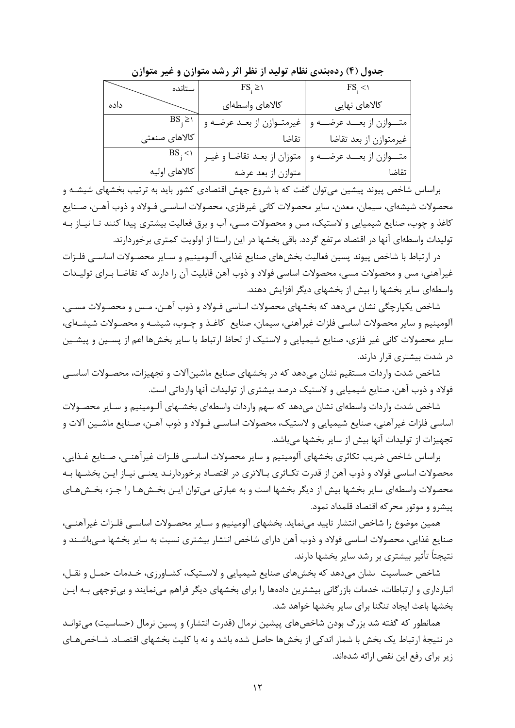| ستانده        | $FS_{i} \geq 0$               | $\text{FS}_1$ < \             |
|---------------|-------------------------------|-------------------------------|
| داده          | كالاهاى واسطهاى               | کالاهای نهایی                 |
| $BS_i \geq 0$ | غیرمتــوازن از بعــد عرضــه و | متـــوازن از بعـــد عرضـــه و |
| كالاهاى صنعتى | تقاضا                         | غيرمتوازن از بعد تقاضا        |
| $BS_i$ < \    | متوزان از بعـد تقاضـا و غيـر  | متـــوازن از بعـــد عرضـــه و |
| كالاهاى اوليه | متوازن از بعد عرضه            | تقاضا                         |

**جدول (4) ردهبندي نظام توليد از نظر اثر رشد متوازن و غير متوازن** 

براساس شاخص پيوند پيشين ميتوان گفت كه با شروع جهش اقتصادي كشور بايد به ترتيب بخشهاي شيشـه و محصولات شيشهاي، سيمان، معدن، ساير محصولات كاني غيرفلزي، محصولات اساسـي فـولاد و ذوب آهـن، صـنايع كاغذ و چوب، صنايع شيميايي و لاستيك، مس و محصولات مسي، آب و برق فعاليت بيشتري پيدا كنند تـا نيـاز بـه توليدات واسطهاي آنها در اقتصاد مرتفع گردد. باقي بخشها در اين راستا از اولويت كمتري برخوردارند.

در ارتباط با شاخص پيوند پسين فعاليت بخشهاي صنايع غذايي، آلـومينيم و سـاير محصـولات اساسـي فلـزات غيرآهني، مس و محصولات مسي، محصولات اساسي فولاد و ذوب آهن قابليت آن را دارند كه تقاضـا بـراي توليـدات واسطهاي ساير بخشها را بيش از بخشهاي ديگر افزايش دهند.

شاخص يكپارچگي نشان ميدهد كه بخشهاي محصولات اساسي فـولاد و ذوب آهـن، مـس و محصـولات مسـي، آلومينيم و ساير محصولات اساسي فلزات غيرآهني، سيمان، صنايع كاغـذ و چـوب، شيشـه و محصـولات شيشـهاي، ساير محصولات كاني غير فلزي، صنايع شيميايي و لاستيك از لحاظ ارتباط با ساير بخشها اعم از پسـين و پيشـين در شدت بيشتري قرار دارند.

شاخص شدت واردات مستقيم نشان ميدهد كه در بخشهاي صنايع ماشينآلات و تجهيزات، محصـولات اساسـي فولاد و ذوب آهن، صنايع شيميايي و لاستيك درصد بيشتري از توليدات آنها وارداتي است.

شاخص شدت واردات واسطهاي نشان ميدهد كه سهم واردات واسطهاي بخشـهاي آلـومينيم و سـاير محصـولات اساسي فلزات غيرآهني، صنايع شيميايي و لاستيك، محصولات اساسـي فـولاد و ذوب آهـن، صـنايع ماشـين آلات و تجهيزات از توليدات آنها بيش از ساير بخشها ميباشد.

براساس شاخص ضريب تكاثري بخشهاي آلومينيم و ساير محصولات اساسـي فلـزات غيرآهنـي، صـنايع غـذايي، محصولات اساسي فولاد و ذوب آهن از قدرت تكـاثري بـالاتري در اقتصـاد برخوردارنـد يعنـي نيـاز ايـن بخشـها بـه محصولات واسطهاي ساير بخشها بيش از ديگر بخشها است و به عبارتي ميتوان ايـن بخـشهـا را جـزء بخـشهـاي پيشرو و موتور محركه اقتصاد قلمداد نمود.

همين موضوع را شاخص انتشار تاييد مينمايد. بخشهاي آلومينيم و سـاير محصـولات اساسـي فلـزات غيرآهنـي، صنايع غذايي، محصولات اساسي فولاد و ذوب آهن داراي شاخص انتشار بيشتري نسبت به ساير بخشها مـيباشـند و نتيجتاً تأثير بيشتري بر رشد ساير بخشها دارند.

شاخص حساسيت نشان ميدهد كه بخشهاي صنايع شيميايي و لاسـتيك، كشـاورزي، خـدمات حمـل و نقـل، انبارداري و ارتباطات، خدمات بازرگاني بيشترين دادهها را براي بخشهاي ديگر فراهم مينمايند و بيتوجهي بـه ايـن بخشها باعث ايجاد تنگنا براي ساير بخشها خواهد شد.

همانطور كه گفته شد بزرگ بودن شاخصهاي پيشين نرمال (قدرت انتشار) و پسين نرمال (حساسيت) ميتوانـد در نتيجة ارتباط يك بخش با شمار اندكي از بخشها حاصل شده باشد و نه با كليت بخشهاي اقتصـاد. شـاخصهـاي زير براي رفع اين نقص ارائه شدهاند.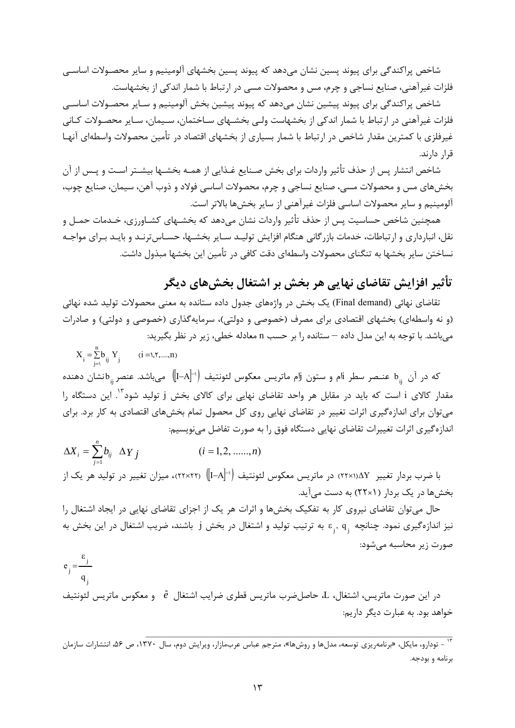شاخص پراكندگي براي پيوند پسين نشان مي دهد كه پيوند پسين بخشهاي آلومينيم و ساير محصـولات اساسـي فلزات غيرآهني، صنايع نساجي و چرم، مس و محصولات مسي در ارتباط با شمار اندكي از بخشهاست.

شاخص پراكندگي براي پيوند پيشين نشان ميدهد كه پيوند پيشين بخش آلومينيم و سـاير محصـولات اساسـي فلزات غيرآهني در ارتباط با شمار اندكي از بخشهاست ولـي بخشـهاي سـاختمان، سـيمان، سـاير محصـولات كـاني غيرفلزي با كمترين مقدار شاخص در ارتباط با شمار بسياري از بخشهاي اقتصاد در تأمين محصولات واسطهاي آنهـا قرار دارند.

شاخص انتشار پس از حذف تأثير واردات براي بخش صـنايع غـذايي از همـه بخشـها بيشـتر اسـت و پـس از آن بخشهاي مس و محصولات مسي، صنايع نساجي و چرم، محصولات اساسي فولاد و ذوب آهن، سيمان، صنايع چوب، آلومينيم و ساير محصولات اساسي فلزات غيرآهني از ساير بخشها بالاتر است.

همچنين شاخص حساسيت پس از حذف تأثير واردات نشان ميدهد كه بخشـهاي كشـاورزي، خـدمات حمـل و نقل، انبارداري و ارتباطات، خدمات بازرگاني هنگام افزايش توليـد سـاير بخشـها، حسـاسترنـد و بايـد بـراي مواجـه نساختن ساير بخشها به تنگناي محصولات واسطهاي دقت كافي در تأمين اين بخشها مبذول داشت.

## **تأثير افزايش تقاضاي نهايي هر بخش بر اشتغال بخشهاي ديگر**

تقاضاي نهائي (Final demand) يک بخش در واژههاي جدول داده ستانده به معني محصولات توليد شده نهائي (و نه واسطهاي) بخشهاي اقتصادي براي مصرف (خصوصي و دولتي)، سرمايهگذاري (خصوصي و دولتي) و صادرات ميباشد. با توجه به اين مدل داده – ستانده را بر حسب n معادله خطي، زير در نظر بگيريد:

$$
X_{i} = \sum_{j=1}^{n} b_{ij} Y_{j} \qquad (i = 1, 1, \dots, n)
$$

که در آن  $_{\rm ij}$  عنـصر سطر iام و ستون jlم ماتریس معکوس لئونتیف  $\parallel$ I–A $\parallel$  می $_{\rm j}$ اشد. عنصر  $_{\rm ij}$ نشان دهنده مقدار كالاي i است كه بايد در مقابل هر واحد تقاضاي نهايي براي كالاي بخش j توليد شود<sup>۱۳</sup>. اين دستگاه را ميتوان براي اندازهگيري اثرات تغيير در تقاضاي نهايي روي كل محصول تمام بخشهاي اقتصادي به كار برد. براي اندازهگيري اثرات تغييرات تقاضاي نهايي دستگاه فوق را به صورت تفاضل مينويسيم:

$$
\Delta X_i = \sum_{j=1}^n b_{ij} \ \Delta Y_j \qquad (i = 1, 2, \dots, n)
$$

با ضرب بردار تغيير ΔY\(۱۲×۲۲) در ماتريس معكوس لئونتيف (1−A)† (۲۲×۲۲)، ميزان تغيير در توليد هر يک از بخشها در يك بردار (1×22) به دست ميآيد.

حال ميتوان تقاضاي نيروي كار به تفكيك بخشها و اثرات هر يك از اجزاي تقاضاي نهايي در ايجاد اشتغال را نيز اندازهگيرى نمود. چنانچه  $\epsilon_{\rm j}, \, {\rm q}_{\rm j}$  به ترتيب توليد و اشتغال در بخش j نيشند، ضريب اشتغال در اين بخش به صورت زير محاسبه ميشود:

$$
e_j = \frac{\varepsilon_j}{q_j}
$$

در اين صورت ماتريس، اشتغال، L، حاصلضرب ماتريس قطري ضرايب اشتغال ˆ*e* و معكوس ماتريس لئونتيف خواهد بود. به عبارت ديگر داريم:

۱۳ - تودارو، مايكل، «برنامهريزي توسعه، مدلها و روشها»، مترجم عباس عربمازار، ويرايش دوم، سال ۱۳۷۰، ص ۵۶، انتشارات سازمان برنامه و بودجه.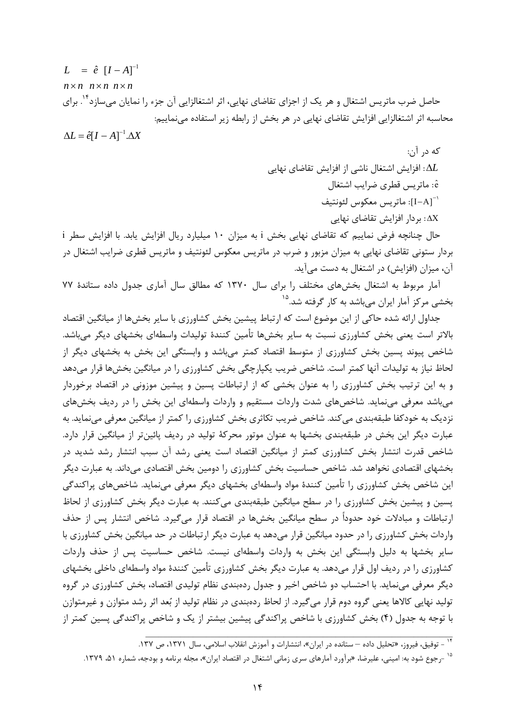*n n n n n n*  $L = \hat{e} [I - A]^{-1}$ حاصل ضرب ماتريس اشتغال و هر يک از اجزاي تقاضاي نهايي، اثر اشتغالزايي آن جزء را نمايان مي سازد<sup>۱۲</sup>. براي محاسبه اثر اشتغالزايي افزايش تقاضاي نهايي در هر بخش از رابطه زير استفاده مينماييم:  $\Delta L = \hat{e}[I - A]^{-1} \Delta X$ 

كه در آن: *L*: افزايش اشتغال ناشي از افزايش تقاضاي نهايي ˆe : ماتريس قطري ضرايب اشتغال [IA[: ماتريس معكوس لئونتيف <sup>1</sup> X : بردار افزايش تقاضاي نهايي

حال چنانچه فرض نماييم كه تقاضاي نهايي بخش i به ميزان 10 ميليارد ريال افزايش يابد. با افزايش سطر i بردار ستوني تقاضاي نهايي به ميزان مزبور و ضرب در ماتريس معكوس لئونتيف و ماتريس قطري ضرايب اشتغال در آن، ميزان (افزايش) در اشتغال به دست ميآيد.

آمار مربوط به اشتغال بخشهاي مختلف را براي سال 1370 كه مطالق سال آماري جدول داده ستاندة 77 بخشي مركز آمار ايران ميباشد به كار گرفته شد.<sup>۱۵</sup>

جداول ارائه شده حاكي از اين موضوع است كه ارتباط پيشين بخش كشاورزي با ساير بخشها از ميانگين اقتصاد بالاتر است يعني بخش كشاورزي نسبت به ساير بخشها تأمين كنندة توليدات واسطهاي بخشهاي ديگر ميباشد. شاخص پيوند پسين بخش كشاورزي از متوسط اقتصاد كمتر ميباشد و وابستگي اين بخش به بخشهاي ديگر از لحاظ نياز به توليدات آنها كمتر است. شاخص ضريب يكپارچگي بخش كشاورزي را در ميانگين بخشها قرار ميدهد و به اين ترتيب بخش كشاورزي را به عنوان بخشي كه از ارتباطات پسين و پيشين موزوني در اقتصاد برخوردار ميباشد معرفي مينمايد. شاخصهاي شدت واردات مستقيم و واردات واسطهاي اين بخش را در رديف بخشهاي نزديك به خودكفا طبقهبندي ميكند. شاخص ضريب تكاثري بخش كشاورزي را كمتر از ميانگين معرفي مينمايد. به عبارت ديگر اين بخش در طبقهبندي بخشها به عنوان موتور محركة توليد در رديف پائينتر از ميانگين قرار دارد. شاخص قدرت انتشار بخش كشاورزي كمتر از ميانگين اقتصاد است يعني رشد آن سبب انتشار رشد شديد در بخشهاي اقتصادي نخواهد شد. شاخص حساسيت بخش كشاورزي را دومين بخش اقتصادي ميداند. به عبارت ديگر اين شاخص بخش كشاورزي را تأمين كنندة مواد واسطهاي بخشهاي ديگر معرفي مينمايد. شاخصهاي پراكندگي پسين و پيشين بخش كشاورزي را در سطح ميانگين طبقهبندي ميكنند. به عبارت ديگر بخش كشاورزي از لحاظ ارتباطات و مبادلات خود حدوداً در سطح ميانگين بخشها در اقتصاد قرار ميگيرد. شاخص انتشار پس از حذف واردات بخش كشاورزي را در حدود ميانگين قرار ميدهد به عبارت ديگر ارتباطات در حد ميانگين بخش كشاورزي با ساير بخشها به دليل وابستگي اين بخش به واردات واسطهاي نيست. شاخص حساسيت پس از حذف واردات كشاورزي را در رديف اول قرار ميدهد. به عبارت ديگر بخش كشاورزي تأمين كنندة مواد واسطهاي داخلي بخشهاي ديگر معرفي مينمايد. با احتساب دو شاخص اخير و جدول ردهبندي نظام توليدي اقتصاد، بخش كشاورزي در گروه توليد نهايي كالاها يعني گروه دوم قرار ميگيرد. از لحاظ ردهبندي در نظام توليد از بعد اثر رشد متوازن و غيرمتوازن با توجه به جدول (4) بخش كشاورزي با شاخص پراكندگي پيشين بيشتر از يك و شاخص پراكندگي پسين كمتر از

۰۱۴ - توفيق، فيروز، «تحليل داده – ستانده در ايران»، انتشارات و آموزش انقلاب اسلامي، سال ۱۳۷۱، ص ۱۳۷.

<sup>&</sup>lt;sup>۱۵</sup> -رجوع شود به: اميني، عليرضا، «برآورد آمارهاي سري زماني اشتغال در اقتصاد ايران»، مجله برنامه و بودجه، شماره ۵۱، ۱۳۷۹.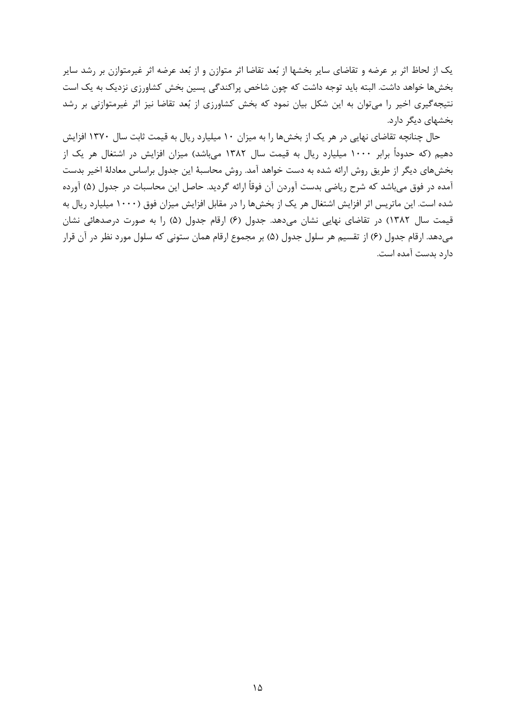يك از لحاظ اثر بر عرضه و تقاضاي ساير بخشها از بعد تقاضا اثر متوازن و از بعد عرضه اثر غيرمتوازن بر رشد ساير بخشها خواهد داشت. البته بايد توجه داشت كه چون شاخص پراكندگي پسين بخش كشاورزي نزديك به يك است نتيجهگيري اخير را ميتوان به اين شكل بيان نمود كه بخش كشاورزي از بعد تقاضا نيز اثر غيرمتوازني بر رشد بخشهاي ديگر دارد.

حال چنانچه تقاضاي نهايي در هر يك از بخشها را به ميزان 10 ميليارد ريال به قيمت ثابت سال 1370 افزايش دهيم (كه حدوداً برابر 1000 ميليارد ريال به قيمت سال 1382 ميباشد) ميزان افزايش در اشتغال هر يك از بخشهاي ديگر از طريق روش ارائه شده به دست خواهد آمد. روش محاسبة اين جدول براساس معادلة اخير بدست آمده در فوق ميباشد كه شرح رياضي بدست آوردن آن فوقاً ارائه گرديد. حاصل اين محاسبات در جدول (5) آورده شده است. اين ماتريس اثر افزايش اشتغال هر يك از بخشها را در مقابل افزايش ميزان فوق (1000 ميليارد ريال به قيمت سال 1382) در تقاضاي نهايي نشان ميدهد. جدول (6) ارقام جدول (5) را به صورت درصدهائي نشان ميدهد. ارقام جدول (6) از تقسيم هر سلول جدول (5) بر مجموع ارقام همان ستوني كه سلول مورد نظر در آن قرار دارد بدست آمده است.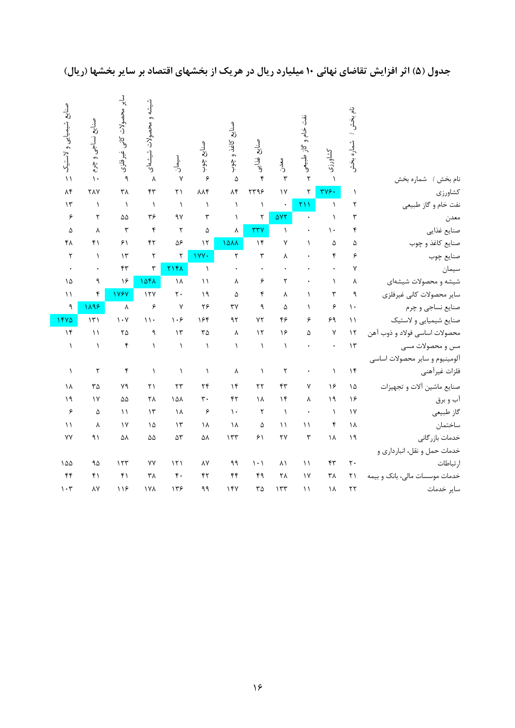|                                | نام بخش ا<br>شماره بخش | كشاورزى      | نفت خام و گاز طبیعی |               | ول<br>ز <mark>ي</mark><br>بيز:<br>تاريخ | ول<br>ز <mark>ي</mark><br>ز کاغذ و چوب | منابع چوب              | أسيمان<br>د            | شيشه و محصولات شيشهاى               | <b>ا</b> یر محصولات کانی غیرفلزی | صنايع نساجى و چرم     | صنايع شيميايي ولاستيک           |
|--------------------------------|------------------------|--------------|---------------------|---------------|-----------------------------------------|----------------------------------------|------------------------|------------------------|-------------------------------------|----------------------------------|-----------------------|---------------------------------|
|                                |                        | $\lambda$    | ٢                   | ر<br>دن<br>٣  | $\mathbf{r}$                            |                                        | ۶                      | $\mathsf{v}$           |                                     | ٩                                | $\mathcal{N}$         | $\setminus$                     |
| نام بخش / شماره بخش            | $\lambda$              | ٣٧۶.         | ٢                   | $\sqrt{}$     | ٢٣٩۶                                    | ۵<br>$\lambda$ ۴                       | $\lambda\lambda f$     | $\mathsf{r}\mathsf{1}$ | $\lambda$<br>$\mathsf{f}\mathsf{r}$ | ٣٨                               | <b>TAY</b>            | $\Lambda$ ۴                     |
| كشاورزي<br>نفت خام و گاز طبیعی | ٢                      | $\lambda$    | $\overline{Y}$      |               | $\lambda$                               | $\lambda$                              | $\lambda$              | $\bigwedge$            | $\lambda$                           | $\lambda$                        | $\lambda$             | $\mathcal{N}$                   |
|                                | ٣                      | $\lambda$    |                     | $\Delta VT$   | ٢                                       | $\lambda$                              | ٣                      | ٩٧                     | ٣۶                                  | $\Delta\Delta$                   | ٢                     | ۶                               |
| معدن<br>صنايع غذايي            | ۴                      | ١.           |                     | $\lambda$     | rrv                                     | γ                                      | ۵                      | $\mathbf{\tau}$        | $\mathbf{\mathsf{f}}$               | ٣                                | γ                     | ۵                               |
| صنایع کاغذ و چوب               | ۵                      | ۵            | $\lambda$           | ٧             | $\mathcal{N}$                           | 1444                                   | $\gamma$               | ۵۶                     | ۴٢                                  | $\mathcal{F}$                    | $f \setminus$         | ۴۸                              |
| صنايع چوب                      | ۶                      | ۴            |                     | γ             | $\mathbf{\breve{r}}$                    | ٢                                      | IVY.                   | ٢                      | ٢                                   | $\mathcal{N}$                    | $\lambda$             | $\mathbf{\tau}$                 |
| سيمان                          | $\mathsf{v}$           |              |                     |               |                                         |                                        | $\lambda$              | <b>٢١۴٨</b>            | ٣                                   | $\mathfrak{r}$                   |                       | $\bullet$                       |
| شیشه و محصولات شیشهای          | ٨                      | $\lambda$    |                     | ٢             | ۶                                       | γ                                      | $\setminus$            | ۱۸                     | 1041                                | ۱۶                               | ٩                     | ۱۵                              |
| ساير محصولات كانى غيرفلزى      | ٩                      | ٣            | $\lambda$           | γ             | ۴                                       | ۵                                      | ۱۹ $\,$                | $\mathbf{r}$ .         | 15Y                                 | 1787                             | ۴                     | $\setminus$                     |
| صنايع نساجي و چرم              | $\mathcal{L}$          | ۶            | $\sqrt{2}$          | ۵             | ٩                                       | $\mathsf{r}\mathsf{v}$                 | ۲۶                     | $\mathsf{v}$           | ۶                                   | $\lambda$                        | 1198                  | ٩                               |
| صنايع شيميايي ولاستيك          | $\setminus$            | ۶۹           | ۶                   | ۴۶            | YY                                      | ۹٢                                     | ۱۶۴                    | $\cdot$ ۶              | $\mathcal{N}$ .                     | $\mathcal{N}$                    | $\mathcal{N}$         | 1470                            |
| محصولات اساسي فولاد و ذوب آهن  | $\mathcal{N}$          | $\mathsf{Y}$ | ۵                   | ۱۶            | $\mathcal{N}$                           | γ                                      | $\mathbf{r} \Delta$    | $\mathcal{N}$          | ٩                                   | ٢۵                               | $\setminus$           | $\mathcal{N}$                   |
| مس و محصولات مسی               | $\mathcal{N}$          | $\bullet$    |                     | $\lambda$     | $\lambda$                               | $\lambda$                              | $\lambda$              | $\lambda$              | $\lambda$                           | ۴                                | $\lambda$             | $\lambda$                       |
| ألومينيوم و ساير محصولات اساسى |                        |              |                     |               |                                         |                                        |                        |                        |                                     |                                  |                       |                                 |
| فلزات غيرآهني                  | $\mathcal{N}$          | $\lambda$    | ۰                   | ٢             | $\lambda$                               | ٨                                      | $\lambda$              | $\lambda$              | $\lambda$                           | ۴                                | $\mathbf{\mathsf{Y}}$ | $\lambda$                       |
| صنايع ماشين ألات و تجهيزات     | ۱۵                     | ۱۶           | ٧                   | ۴٣            | $\mathbf{r}$                            | $\mathcal{N}$                          | $\mathbf{r}$           | $\tau\tau$             | $\mathsf{r}\mathsf{1}$              | ٧٩                               | $\mathbf{r} \Delta$   | ١٨                              |
| آب و برق                       | ۱۶                     | 19           | $\lambda$           | $\mathcal{N}$ | ۱۸                                      | $\mathsf{f}\mathsf{r}$                 | $\mathbf{\breve{r}}$ . | ١۵٨                    | ٢٨                                  | $\Delta\Delta$                   | $\gamma$              | 19                              |
| گاز طبیعی                      | $\gamma$               | $\lambda$    |                     | $\lambda$     | $\mathsf{r}$                            | $\mathcal{L}$                          | ۶                      | ۱۸                     | $\gamma$                            | $\setminus$                      | ۵                     | ۶                               |
| ساختمان                        | ۱۸                     | ۴            | $\setminus$         | $\setminus$   | ۵                                       | ۱۸                                     | ۱۸                     | $\mathcal{N}$          | ۱۵                                  | $\gamma$                         | $\pmb{\lambda}$       | $\setminus$                     |
| خدمات بازرگانی                 | ١٩                     | ۱۸           | $\mathbf{r}$        | ۲٧            | ۶١                                      | 157                                    | ۵٨                     | $\Delta \mathsf{Y}$    | ۵۵                                  | ۵٨                               | ۹١                    | ٧V                              |
| خدمات حمل و نقل، انبارداری و   |                        |              |                     |               |                                         |                                        |                        |                        |                                     |                                  |                       |                                 |
| ارتباطات                       | $\mathbf{r}$ .         | ۴٣           | $\setminus$         | ۸١            | $\setminus \cdot$                       | ۹۹                                     | $\lambda\lambda$       | 151                    | ٧٧                                  | 157                              | ۹۵                    | ۱۵۵                             |
| خدمات موسسات مالی، بانک و بیمه | $\mathsf{Y}$           | ٣٨           | $\gamma$            | ٢٨            | ۴۹                                      | $\mathfrak{f}\mathfrak{f}$             | $\mathsf{f}\mathsf{r}$ | $\mathfrak{r}$ .       | ٣٨                                  | $f \setminus$                    | $f \setminus$         | $\mathfrak{f}\mathfrak{f}$      |
| ساير خدمات                     | $\tau\tau$             | ۱۸           | $\setminus$         | 157           | ٣۵                                      | 15Y                                    | ۹۹                     | ۱۳۶                    | <b>IVA</b>                          | 119                              | ٨Y                    | $\mathcal{N} \cdot \mathcal{N}$ |

# جدول (۵) اثر افزایش تقاضای نهائی ۱۰ میلیارد ریال در هریک از بخشهای اقتصاد بر سایر بخشها (ریال)<br>-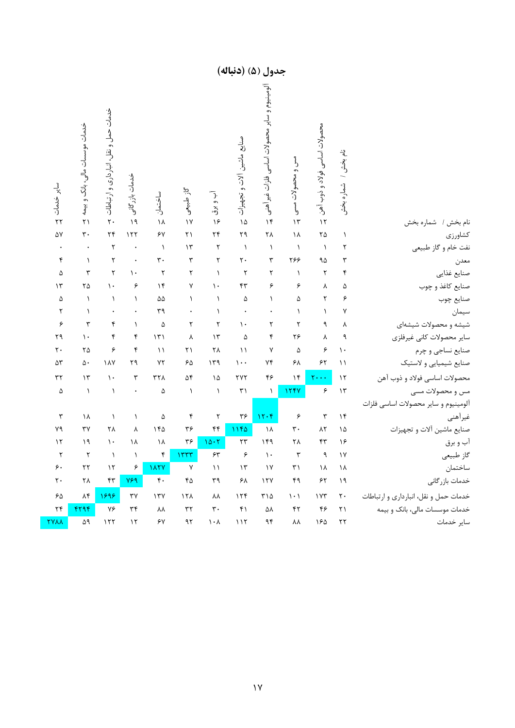| سایر خدمات<br>$\overline{Y}$ | خدمات موسسات مالی، بانک و بیمه<br>$\overline{Y}$ | خدمات حمل و نقل، انبارداری و ارتباطات<br>$\mathbf{r}$ . | خدمات بازر گانی<br>$\lambda$ | ساختمان<br>١٨        | گاز طبیعی<br>$\sqrt{}$ | آب و برق<br>۱۶                | صنايع ماشين آلات و تجهيزات<br>۱۵ | ألومينيوم و ساير محصولات اساسي فلزات غير آهني<br>$\mathcal{N}$ | مس و محصولات مسی<br>$\mathcal{N}$ | محصولات اساسى فولاد و ذوب آهن<br>$\sqrt{ }$ | نام بخش / شماره بخش  | نام بخش / شماره بخش                   |
|------------------------------|--------------------------------------------------|---------------------------------------------------------|------------------------------|----------------------|------------------------|-------------------------------|----------------------------------|----------------------------------------------------------------|-----------------------------------|---------------------------------------------|----------------------|---------------------------------------|
| ۵٧                           | $\mathbf{r}$ .                                   | $\mathbf{r}$                                            | 157                          | ۶۷                   | ۲۱                     | $\mathbf{r}$                  | ٢٩                               | ۲۸                                                             | ١٨                                | $\mathsf{Y}\Delta$                          | $\lambda$            | كشاورزى                               |
|                              |                                                  | $\mathbf{\tau}$                                         |                              | $\lambda$            | $\mathcal{N}$          | ٢                             | $\lambda$                        | $\lambda$                                                      | $\lambda$                         | $\lambda$                                   | ٢                    | نفت خام و گاز طبیعی                   |
| ۴                            | $\lambda$                                        | ٢                                                       |                              | $\mathbf{r}$ .       | $\mathbf{\breve{r}}$   | ٢                             | $\mathbf{r}$ .                   | ٣                                                              | ٢۶۶                               | ٩۵                                          | ٣                    | معدن                                  |
| ۵                            | ٣                                                | ٢                                                       | $\mathcal{L}$                | $\mathbf{\breve{L}}$ | $\mathbf{\tau}$        | $\lambda$                     | ٢                                | ٢                                                              | $\lambda$                         | $\mathbf{\tau}$                             | ۴                    | صنايع غذايي                           |
| $\mathcal{N}$                | ۲۵                                               | $\mathcal{L}$                                           | ۶                            | $\mathcal{N}$        | $\mathsf{V}$           | $\mathcal{L}$                 | $\mathsf{f}\mathsf{r}$           | ۶                                                              | ۶                                 | γ                                           | ۵                    | صنایع کاغذ و چوب                      |
| ۵                            | $\lambda$                                        | $\lambda$                                               | $\lambda$                    | $\Delta\Delta$       | $\lambda$              | $\lambda$                     | ۵                                | $\lambda$                                                      | ۵                                 | ٢                                           | ۶                    | صنايع چوب                             |
| ٢                            | $\lambda$                                        |                                                         |                              | ٣٩                   |                        | $\lambda$                     |                                  |                                                                | $\lambda$                         | $\lambda$                                   | ٧                    | سيمان                                 |
| ۶                            | ٣                                                | ۴                                                       | $\lambda$                    | ۵                    | $\mathbf{\bar{r}}$     | ٢                             | $\mathcal{N}$                    | ٢                                                              | ٢                                 | ٩                                           | $\lambda$            | شیشه و محصولات شیشهای                 |
| ۲۹                           | $\mathcal{N}$                                    | ۴                                                       | ۴                            | $\mathcal{N}$        | λ                      | $\mathcal{N}$                 | ۵                                | ۴                                                              | ۲۶                                | γ                                           | ٩                    | ساير محصولات كانى غيرفلزى             |
| ٢٠                           | ۲۵                                               | ۶                                                       | $\mathbf{\acute{r}}$         | $\setminus$          | ۲۱                     | ٢٨                            | $\setminus$                      | Y                                                              | $\Delta$                          | ۶                                           | $\mathcal{L}$        | صنايع نساجي و چرم                     |
| ۵٣                           | ۵.                                               | ١٨٧                                                     | ٢٩                           | ٧٢                   | ۶۵                     | 149                           | $\cdots$                         | $Y\mathfrak{f}$                                                | ۶۸                                | $\gamma\gamma$                              | $\setminus$          | صنايع شيميايي و لاستيك                |
| ٣٢                           | $\mathcal{N}$                                    | $\mathcal{N}$                                           | $\mathbf{\breve{r}}$         | $\tau\tau\Lambda$    | ۵۴                     | $\Delta$                      | <b>TYT</b>                       | ۴۶                                                             | $\mathcal{N}$                     | $\mathbf{y} \cdot \cdot \cdot$              | $\mathcal{N}$        | محصولات اساسي فولاد و ذوب آهن         |
| ۵                            | $\backslash$                                     | $\backslash$                                            | $\bullet$                    | $\Delta$             | $\backslash$           | $\backslash$                  | $\uparrow\uparrow$               | $\backslash$                                                   | 1241                              | ۶                                           | $\mathcal{N}$        | مس و محصولات مسی                      |
|                              |                                                  |                                                         |                              |                      |                        |                               |                                  |                                                                |                                   |                                             |                      | ألومينيوم و ساير محصولات اساسى فلزات  |
| $\mathbf{\breve{v}}$         | ۱۸                                               | $\lambda$                                               | $\lambda$                    | ۵                    | $\pmb{\mathsf{f}}$     | $\mathbf{\tau}$               | $\mathbf{y}$                     | 11.6                                                           | ۶                                 | $\breve{\mathbf{r}}$                        | $\mathcal{N}$        | غيرأهني                               |
| ٧٩                           | ٣٧                                               | ٢٨                                                      | $\lambda$                    | ۱۴۵                  | ٣۶                     | ۴۴                            | 1180                             | $\lambda$                                                      | ٣.                                | $\lambda \tau$                              | ۱۵                   | صنايع ماشين ألات و تجهيزات            |
| $\mathcal{N}$                | $\eta$                                           | $\mathcal{N}$                                           | ١٨                           | ١٨                   | ٣۶                     | 10.7                          | $\tau\tau$                       | 149                                                            | ٢٨                                | $\mathfrak{r}$                              | ۱۶                   | آب و برق                              |
| $\mathbf{\breve{L}}$         | $\mathbf{\mathsf{Y}}$                            | $\Delta$                                                | $\backslash$                 | ۴                    | 15.5                   | $\gamma\gamma$                | ۶                                | $\mathcal{N}$ .                                                | $\mathbf{\breve{r}}$              | ٩                                           | $\backslash\!\!\vee$ | گاز طبیعی                             |
| ۶.                           | $\mathbf{r}$                                     | $\mathcal{N}$                                           | ۶                            | <b>IATY</b>          | $\mathsf{Y}$           | $\setminus$                   | $\mathcal{N}$                    | $\gamma$                                                       | $\uparrow$                        | ١٨                                          | ١٨                   | ساختمان                               |
| ٢٠                           | ٢٨                                               | $\mathsf{f}\mathsf{r}$                                  | Y59                          | $\mathfrak{r}$ .     | $f \Delta$             | ٣٩                            | ۶۸                               | 15V                                                            | ۴۹                                | ۶۲                                          | $\lambda$ ۹          | خدمات بازرگانی                        |
| ۶۵                           | $\Lambda$ ۴                                      | 1898                                                    | $\mathbf{y}$                 | 17Y                  | 15 <sub>A</sub>        | ٨٨                            | 156                              | ۳۱۵                                                            | $\langle \cdot  $                 | $\sqrt{r}$                                  | $\mathbf{r}$ .       | خدمات حمل و نقل، انبارداري و ارتباطات |
| $\mathbf{r}$                 | 4794                                             | ٧۶                                                      | $\tau\tau$                   | $\lambda\lambda$     | $\tau\tau$             | $\mathbf{r}$ .                | $\mathfrak{f}$                   | ۵٨                                                             | $\mathsf{f}\mathsf{r}$            | ۴۶                                          | $\mathbf{r}$         | خدمات موسسات مالی، بانک و بیمه        |
| <b>TYAA</b>                  | ۵۹                                               | 157                                                     | $\mathcal{N}$                | ۶۷                   | ۹۲                     | $\mathcal{N}\cdot\mathcal{N}$ | 117                              | $\gamma\gamma$                                                 | $\lambda\lambda$                  | ١۶۵                                         | $\mathbf{r}$         | ساير خدمات                            |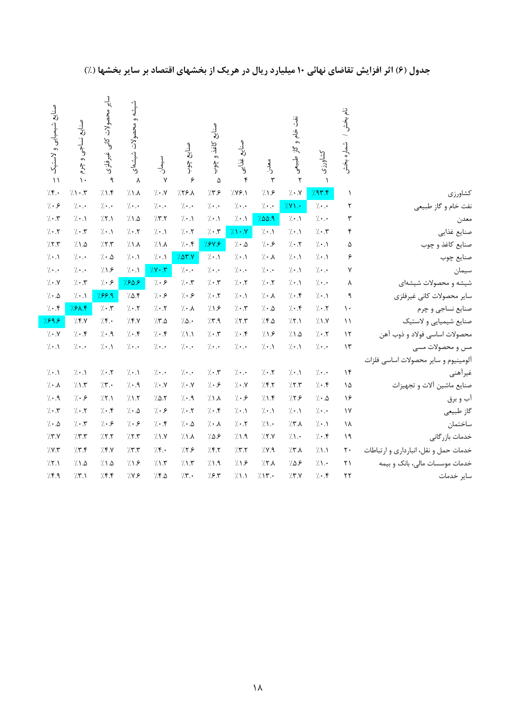|                                       | نام بخش ا              |                        | نفت خام و                   |                        |                              | مٺلي<br>ن                          |                                 |                             | :<br>په<br>، و محصولات     | محصولات كانى           | مىنايچ                 | صنايع شيميايي ولاستيك   |
|---------------------------------------|------------------------|------------------------|-----------------------------|------------------------|------------------------------|------------------------------------|---------------------------------|-----------------------------|----------------------------|------------------------|------------------------|-------------------------|
|                                       | شماره بخش              | كشاورزى                | گاز طبیعی                   | مدن.<br>د              | و<br>رنج<br>يد:<br>وف        | کاغذ و<br>$\ddot{\theta}$ :        | مىناي <b>ج</b><br>$\frac{3}{5}$ | ر<br>أحسان                  | شيشعاى                     | .<br>غیرفلزی           | نساجى و چرم            |                         |
|                                       | $\lambda$              | $\lambda$<br>797.5     | ٢<br>7.1                    | $\mathbf{r}$<br>71.5   | $\mathbf{\hat{r}}$<br>7.99.1 | $\Delta$<br>77.5                   | ۶<br>$752\lambda$               | $\mathsf{v}$<br>$7 \cdot x$ | $\lambda$<br>71.1          | ٩<br>71.5              | $\mathcal{N}$<br>7.1.7 | $\setminus$<br>7.5.     |
| كشاورزى                               | ٢                      | $7 \cdot .$            |                             |                        |                              |                                    | $7 \cdot .$                     | $\gamma$                    |                            | $\gamma$               | $\gamma$               | 7.9                     |
| نفت خام و گاز طبیعی                   | ٣                      | $7 \cdot .$            | $7Y$ .<br>$7 \cdot \Lambda$ | $7 \cdot .$<br>7.00.9  | $/ \cdot$ .<br>$/ \cdot .$   | $\gamma$<br>$\gamma \cdot \Lambda$ | $7 \cdot \Lambda$               | 77.7                        | $/ \cdot$ .<br>7.1.0       | 75.1                   | $7 \cdot \Lambda$      | $7 \cdot 7$             |
| معدن                                  | ۴                      | $7 \cdot 7$            | $/ \cdot .$                 | $7 \cdot \Lambda$      | 71.7                         | $7 \cdot 7$                        | $7 \cdot 7$                     | $/ \cdot .$                 | $/ \cdot$ . $\mathsf{Y}$   | $\gamma \cdot \Lambda$ | $7 \cdot 7$            | $7 \cdot 7$             |
| صنايع غذايي                           | ۵                      | $7 \cdot \Lambda$      | $7 \cdot 7$                 | 7.8                    | $7 \cdot 10$                 | 784.8                              | $7 \cdot .5$                    | 71.1                        | $\lambda$                  | 7.7.7                  | 7.1.2                  | 77.7                    |
| صنایع کاغذ و چوب                      | ۶                      | $\gamma \cdot \Lambda$ |                             | $7 \cdot \lambda$      | $\gamma \cdot \Lambda$       | $\gamma \cdot \Lambda$             | 707.7                           |                             |                            |                        | $\gamma \cdot \cdot$   | $\gamma \cdot \Lambda$  |
| صنايع چوب                             | ٧                      | $\gamma \cdot \cdot$   | $/ \cdot .$                 | $7 \cdot \cdot$        | $\gamma$                     | $\gamma \cdot \cdot$               | $7 \cdot .$                     | $/ \cdot .$                 | $/ \cdot .$                | $7 \cdot 10$           | $7 \cdot \cdot$        |                         |
| سيمان                                 | γ                      | $7 \cdot .$            | $/ \cdot .$<br>$/ \cdot .$  | $7 \cdot 7$            | $/ \cdot .7$                 | $7 \cdot 7$                        | $7 \cdot 7$                     | $/ Y \cdot Y$<br>7.9        | $/ \cdot .$<br>7809        | 719<br>7.9             | $7 \cdot 7$            | $\gamma$<br>$7 \cdot 7$ |
| شیشه و محصولات شیشهای                 |                        |                        |                             |                        | $7 \cdot \Lambda$            |                                    |                                 |                             |                            |                        |                        |                         |
| سایر محصولات کانی غیرفلزی             | ٩                      | $7 \cdot \Lambda$      | $/ \cdot$ . $\mathsf{f}$    | $7 \cdot \lambda$      |                              | $7 \cdot 7$                        | 7.9                             | 7.9                         | 7.0.5                      | 789.9                  | $7 \cdot \Lambda$      | $7 \cdot 10$            |
| صنايع نساجي و چرم                     | $\mathcal{L}$          | $7 \cdot 7$            | $/ \cdot f$                 | $7 \cdot 10$           | $/ \cdot$ . $\mathbf{r}$     | 71.5                               | $\gamma\cdot\lambda$            | $7 \cdot 7$                 | $7 \cdot 7$                | $7 \cdot 7$            | 788.4                  | $/ \cdot$ .۴            |
| صنايع شيميايي و لاستيك                | $\setminus$            | 71.7                   | 7.1                         | 7.8.0                  | 75.5                         | 77.9                               | 7.0.4                           | 7.8                         | 7.5.7                      | 7.5                    | 7.5.7                  | 7999                    |
| محصولات اساسي فولاد و ذوب آهن         | $\mathcal{N}$          | $7 \cdot 7$            | 7.1.2                       | 7.1.5                  | $/ \cdot$ .۴                 | $/\cdot$ .                         | 71.1                            | $7 \cdot .5$                | $/ \cdot .$                | $7 \cdot .9$           | $7 \cdot .$            | $\gamma$ . $\gamma$     |
| مس و محصولات مسی                      | $\mathcal{N}$          | $\gamma$               | $/ \cdot \Lambda$           | $\gamma \cdot \Lambda$ | $\gamma$                     | $/ \cdot$ .                        | $\gamma$                        | $\gamma$                    | $/ \cdot$ .                | $\gamma \cdot \Lambda$ | $\gamma$               | $/ \cdot .$             |
| آلومينيوم و ساير محصولات اساسى فلزات  |                        |                        |                             |                        |                              |                                    |                                 |                             |                            |                        |                        |                         |
| غيرأهني                               | $\lambda$              | $\gamma$ .             | $/ \cdot .$                 | $7 \cdot 7$            | $/ \cdot$ .                  | $7 \cdot 7$                        | $\gamma$                        | $\gamma \cdot \cdot$        | $/ \cdot \Lambda$          | $7 \cdot 7$            | $7 \cdot \Lambda$      | $7 \cdot \Lambda$       |
| صنايع ماشين آلات و تجهيزات            | ۱۵                     | $7 \cdot .$ ۴          | 7.7.7                       | 7.57                   | $/ \cdot$ .Y                 | $7 \cdot 5$                        | $7 \cdot x$                     | $\gamma \cdot \gamma$       | $\gamma \cdot \mathcal{A}$ | 7.7.                   | 71.7                   | $7 \cdot \lambda$       |
| آب و برق                              | ۱۶                     | $7 \cdot 10$           | 779                         | 71.5                   | 7.9                          | $\lambda$                          | $7 \cdot .9$                    | 70.7                        | 7.1.7                      | 77.1                   | 7.9                    | $7 \cdot .9$            |
| گاز طبیعی                             | $\gamma$               | $7 \cdot \cdot$        | $/ \cdot \Lambda$           | $7 \cdot \Lambda$      | $7 \cdot \Lambda$            | $7 \cdot 1$                        | 7.7                             | 7.9                         | $7 \cdot 10$               | 7.5                    | $7 \cdot 7$            | $7 \cdot 7$             |
| ساختمان                               | ١٨                     | $7 \cdot \Lambda$      | 7.7.1                       | 7.1.                   | $7 \cdot 7$                  | $\gamma \cdot \lambda$             | $\gamma \cdot \Delta$           | $7 \cdot 5$                 | 7.9                        | 7.9                    | $7 \cdot 7$            | $7 \cdot 10$            |
| خدمات بازر گانی                       | 19                     | $7 \cdot .$ ۴          | $/ \Lambda$ .               | 7.7.7                  | 7.1.9                        | 7.0.9                              | 7.1.1                           | 7.1.1                       | 7.7.7                      | 7.7.7                  | 7.77                   | 77.7                    |
| خدمات حمل و نقل، انبارداري و ارتباطات | $\mathsf{r}\cdot$      | 71.1                   | 7.7.1                       | 7.1                    | 7.7                          | 7.7                                | 759                             | 7.5                         | 7.7                        | 75.7                   | 7.5                    | 7.1                     |
| خدمات موسسات مالی، بانک و بیمه        | $\mathsf{r}\mathsf{1}$ | 7.1.                   | 7.09                        | 7.7.1                  | 71.5                         | 7.1.9                              | 7.1.5                           | 71.5                        | 71.5                       | 7.1.0                  | 7.1.0                  | 75.1                    |
| ساير خدمات                            | $\mathbf{r}$           | 7.5                    | 7.7.7                       | 715.                   | $/ \Lambda$                  | 7.5.7                              | 7.7                             | 7.8.0                       | 7.19                       | 7.5                    | 77.1                   | 7.9                     |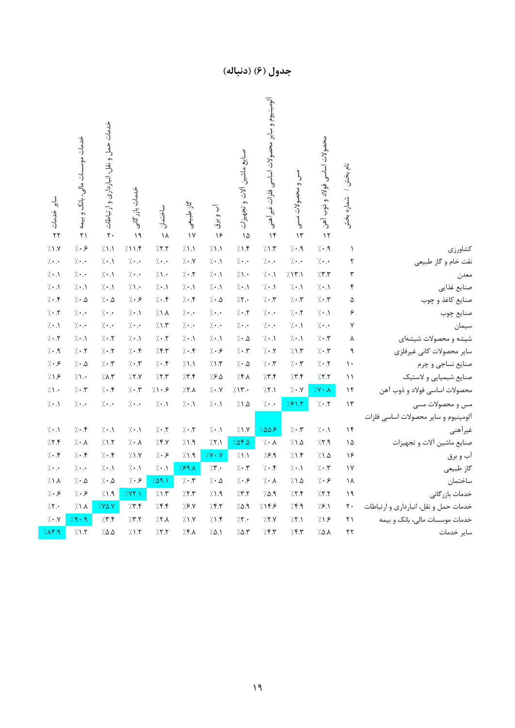|                                       | نام بخش / شماره بخش  | محصولات اساسى فولاد و ذوب آهن<br>$\mathcal{N}$ | مس و محصولات مسی<br>$\mathcal{N}$ | ألومينيوم و ساير محصولات اساسى<br>فلزات غيراًهنى<br>$\mathcal{N}$ | صنايع ماشين ألات و تجهيزات<br>۱۵ | آب و برق<br>۱۶                   | گاز طبیعی<br>$\gamma$  | ساختمان<br>١٨             | خدمات بازر گانی<br>$\lambda$ | خدمات حمل و نقل، انبارداری و ارتباطات<br>$\mathbf{r}$ . | خدمات موسسات مالی، بانک و بیمه<br>$\overline{Y}$ | سایر خدمات<br>$\mathbf{r}$      |
|---------------------------------------|----------------------|------------------------------------------------|-----------------------------------|-------------------------------------------------------------------|----------------------------------|----------------------------------|------------------------|---------------------------|------------------------------|---------------------------------------------------------|--------------------------------------------------|---------------------------------|
| كشاورزي                               | $\lambda$            | $7 \cdot .9$                                   | $\gamma$ . $\uparrow$             | 7.17                                                              | 7.1.5                            | $\gamma_{\rm{A}}$                | 7.1.1                  | 77.7                      | 711.5                        | 71.1                                                    | 7.9                                              | 71.7                            |
| نفت خام و گاز طبیعی                   | ٢                    | $/$ .<br>.                                     | $/$                               | $7 \cdot .$                                                       | $/ \cdot$ .                      | $7 \cdot \Lambda$                | $7 \cdot 7$            | $7 \cdot .$               | $/$                          | $7 \cdot .$                                             | $\gamma$                                         | $\cdot$ .                       |
| معدن                                  | $\mathbf{\breve{v}}$ | 77.7                                           | 7.17.1                            | $7 \cdot 1$                                                       | 7.1.                             | $7 \cdot \Lambda$                | $7 \cdot 7$            | 7.1.                      | $7 \cdot .$                  | $7 \cdot .$                                             | $\cdot$ .                                        | $\gamma \cdot \Lambda$          |
| صنايع غذايي                           | $\pmb{\mathsf{f}}$   | $7 \cdot \Lambda$                              | $/ \cdot$ .)                      | $7 \cdot .1$                                                      | $/ \cdot .$                      | $7 \cdot \Lambda$                | $7 \cdot .$            | $7 \cdot \Lambda$         | $/ \Lambda$ .                | $7 \cdot .$                                             | $/ \cdot .$                                      | $7 \cdot \Lambda$               |
| صنایع کاغذ و چوب                      | ۵                    | $7 \cdot 7$                                    | $7 \cdot 7$                       | $7 \cdot 7$                                                       | 7.7.                             | $7 \cdot 10$                     | 7.5                    | $7 \cdot .5$              | 7.9                          | $7 \cdot 10$                                            | $/\cdot$ .<br>$\Delta$                           | $7 \cdot .$                     |
| صنايع چوب                             | ۶                    | $7 \cdot \Lambda$                              | $/ \cdot . 7$                     | $\gamma \cdot \cdot$                                              | $/ \cdot . 7$                    | $7 \cdot \cdot$                  | $/ \cdot$ .            | 7.1.1                     | $/ \cdot .$                  | $\gamma \cdot \cdot$                                    | $/$                                              | $7 \cdot 7$                     |
| سيمان                                 | ٧                    | $/ \cdot$ .                                    | $/\cdot$ .)                       | $\gamma \cdot \cdot$                                              | $/ \cdot$ .                      | $7 \cdot . \cdot$                | $/ \cdot$ .            | 7.1.7                     | $/ \cdot$ .                  | $\gamma \cdot \cdot$                                    | $/$ .<br>.                                       | $7 \cdot .$                     |
| شیشه و محصولات شیشهای                 | ٨                    | $7 \cdot 7$                                    | $/\cdot$ .\                       | $7 \cdot \Lambda$                                                 | $/\cdot$ .<br>$\Delta$           | $7 \cdot 1$                      | $/ \cdot .$            | $/ \cdot$ .<br>$\uparrow$ | $/ \cdot .$                  | $7 \cdot 7$                                             | $/ \cdot .$                                      | $7 \cdot 7$                     |
| سایر محصولات کانی غیرفلزی             | ٩                    | $7 \cdot 7$                                    | $7.1.7^\circ$                     | $7 \cdot 7$                                                       | $/ \cdot 7$                      | 7.8                              | $/ \cdot$ $\mathsf{f}$ | 7.5                       | $/ \cdot$ .۴                 | $7 \cdot 7$                                             | $7 \cdot 7$                                      | $7 \cdot .9$                    |
| صنايع نساجي و چرم                     | $\mathcal{L}$        | $7 \cdot 7$                                    | $/\cdot$ .<br><br>$\!$            | $7 \cdot 7$                                                       | $/\cdot$ .<br>$\Delta$           | $7.1.7\,$                        | 71.1                   | $7 \cdot .$ ۴             | $/\cdot$ .<br><br>$\!$       | $7 \cdot 7$                                             | $/ \cdot$ $\Lambda$                              | 7.9                             |
| صنايع شيميايي و لاستيك                | $\setminus$          | 7.7.7                                          | 7.7.5                             | 7.7.5                                                             | 7.5.1                            | 7.8.0                            | 7.5                    | 7.7.7                     | 7.7.7                        | 7.17                                                    | $/ \Lambda$ .                                    | 719                             |
| محصولات اساسي فولاد و ذوب آهن         | $\gamma$             | $/\gamma \cdot \Lambda$                        | $7 \cdot N$                       | $\gamma$ , $\gamma$                                               | 717.                             | $\gamma$ . $\gamma$              | 7.7.1                  | $7 \cdot 5$               | $7 \cdot 7$                  | $7 \cdot 5$                                             | $7 \cdot 7$                                      | 7.1.                            |
| مس و محصولات مسی                      | $\mathcal{N}$        | $7 \cdot 7$                                    | 781.7                             | $/$ .<br>.                                                        | 7.1.0                            | $7 \cdot \Lambda$                | $7 \cdot .$            | $7 \cdot 1$               | $\gamma$                     | $\gamma$                                                | $\gamma$                                         | $\gamma \cdot \Lambda$          |
| الومينيوم و ساير محصولات اساسى فلزات  |                      |                                                |                                   |                                                                   |                                  |                                  |                        |                           |                              |                                                         |                                                  |                                 |
| غيرأهني                               | $\mathcal{N}$        | $7 \cdot 1$                                    | $7 \cdot 7$                       | 7.009                                                             | 71.1                             | $7 \cdot .1$                     | $7 \cdot 7$            | $7 \cdot 7$               | $7 \cdot \Lambda$            | $7 \cdot .$                                             | $7 \cdot .5$                                     | $\mathcal{H} \cdot \mathcal{N}$ |
| صنايع ماشين آلات و تجهيزات            | ۱۵                   | 77.9                                           | 71.2                              | $\gamma \cdot \lambda$                                            | 7.08.0                           | $7.7.1\,$                        | 7.1.9                  | 7.5.7                     | $\gamma\cdot\lambda$         | 71.7                                                    | $\mathcal{A}\cdot\mathcal{A}$                    | 77.5                            |
| أب و برق                              | ۱۶                   | 7.1.2                                          | 71.5                              | 79.9                                                              | 71.1                             | $/Y \cdot Y$                     | $\gamma$ . A           | 7.9                       | 7.1.1                        | $7 \cdot 1$                                             | $7 \cdot .5$                                     | $7 \cdot .5$                    |
| گاز طبیعی                             | $\mathcal{N}$        | $7 \cdot 7$                                    | $/ \cdot$ .                       | $7 \cdot 15$                                                      | $7 \cdot 7$                      | 7.7                              | 791                    | $7 \cdot \Lambda$         | $/\cdot$ .                   | $7 \cdot \Lambda$                                       | $\gamma \cdot \cdot$                             | $\gamma$                        |
| ساختمان                               | ١٨                   | 7.8                                            | $7.1\,\Delta$                     | $7 \cdot \lambda$                                                 | $/ \cdot$ و                      | $\gamma \cdot \Delta$            | $/\cdot$ . $\!$        | 7.09.1                    | 7.9                          | $7 \cdot 10$                                            | $/ \cdot$ $\Lambda$                              | 7.1.1                           |
| خدمات بازر گانی                       | ۱۹                   | 7.7.7                                          | 7.7.5                             | 7.0.9                                                             | /7.7                             | $\gamma$ .<br><br>1 . $\uparrow$ | 777                    | 7.1.7                     | 7.1                          | 7.1.9                                                   | 7.9                                              | 7.9                             |
| خدمات حمل و نقل، انبارداری و ارتباطات | ٢٠                   | 7.8.1                                          | $\gamma$ .<br>9                   | 7155                                                              | 7.0.9                            | 7.57                             | 79.1                   | 7.5                       | 7.7.5                        | $7.88 \times 10^{-10}$                                  | $\lambda \wedge \lambda$                         | 7.7.                            |
| خدمات موسسات مالی، بانک و بیمه        | ٢١                   | 719                                            | $\gamma$ , $\gamma$               | 7.7.7                                                             | 7.7.                             | 7.1.5                            | 7.1.1                  | 7.7.1                     | 7.7.7                        | 77.5                                                    | 7.49                                             | $\gamma \cdot \gamma$           |
| ساير خدمات                            | ٢٢                   | ۸.۵٪                                           | 757                               | 7.57                                                              | 7.0.7                            | 7.0.1                            | 7.7.1                  | 77.7                      | 71.7                         | $7.0 \, \Delta$                                         | 71.7                                             | 7.1                             |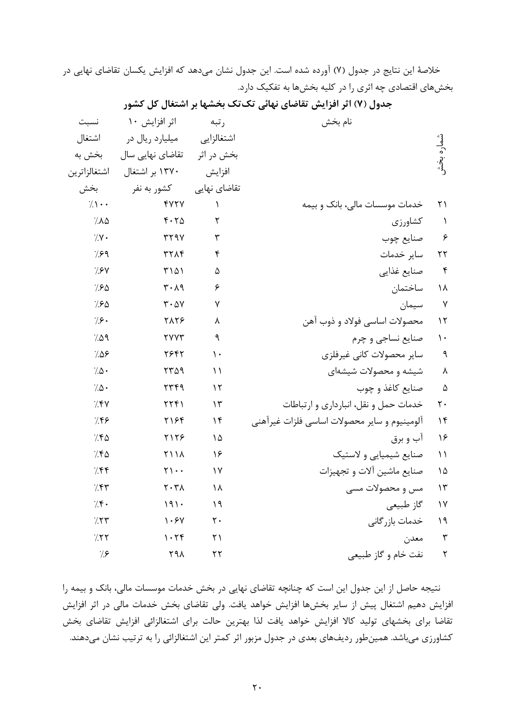خلاصة اين نتايج در جدول (7) آورده شده است. اين جدول نشان ميدهد كه افزايش يكسان تقاضاي نهايي در بخشهاي اقتصادي چه اثري را در كليه بخشها به تفكيك دارد.

|                        | نام بخش                                      | رتبه           | اثر افزايش ١٠                 | نسبت                |
|------------------------|----------------------------------------------|----------------|-------------------------------|---------------------|
|                        |                                              | اشتغالزايى     | میلیارد ریال در               | اشتغال              |
| شماره بخش              |                                              | بخش در اثر     | تقاضای نهایی سال              | بخش به              |
|                        |                                              | افزايش         | ۱۳۷۰ بر اشتغال                | اشتغالزاترين        |
|                        |                                              | تقاضای نهایی   | كشور به نفر                   | بخش                 |
| $\mathsf{r}\mathsf{1}$ | خدمات موسسات مالی، بانک و بیمه               | $\lambda$      | <b>FVTV</b>                   | $7.1 \cdot \cdot$   |
| $\lambda$              | كشاورزي                                      | ٢              | 4.70                          | 7.10                |
| ۶                      | صنايع چوب                                    | ٣              | <b>TT9V</b>                   | $\gamma$ .          |
| $\mathbf{r}$           | ساير خدمات                                   | ۴              | <b>٣٢٨۴</b>                   | $\frac{7}{5}$       |
| $\mathbf{r}$           | صنايع غذايي                                  | ۵              | ۳۱۵۱                          | $\gamma$ . $\gamma$ |
| ۱۸                     | ساختمان                                      | ۶              | $\mathbf{r} \cdot \mathbf{v}$ | 7.80                |
| $\mathsf{Y}$           | سيمان                                        | ٧              | $\mathbf{r} \cdot \mathbf{v}$ | 7.80                |
| $\gamma$               | محصولات اساسي فولاد و ذوب آهن                | ٨              | <b>TATS</b>                   | 7.9.                |
| $\mathcal{N}$          | صنايع نساجي و چرم                            | ٩              | <b>TYYT</b>                   | 7.09                |
| $\mathbf{\mathsf{q}}$  | ساير محصولات كانى غيرفلزى                    | $\mathcal{L}$  | 7947                          | 7.08                |
| $\pmb{\wedge}$         | شیشه و محصولات شیشهای                        | $\setminus$    | 7709                          | $7.0 \cdot$         |
| $\Delta$               | صنایع کاغذ و چوب                             | $\gamma$       | 7749                          | $7.0 \cdot$         |
| $\mathsf{r}$ .         | خدمات حمل و نقل، انبارداری و ارتباطات        | $\gamma$       | YYY                           | 7.5V                |
| $\gamma$               | آلومينيوم و ساير محصولات اساسي فلزات غيرآهني | $\gamma$       | ۲۱۶۴                          | 7.55                |
| ۱۶                     | آب و برق                                     | ۱۵             | 7178                          | 7.50                |
| $\setminus$            | صنایع شیمیایی و لاستیک                       | ۱۶             | <b>٢١١٨</b>                   | 7.50                |
| ۱۵                     | صنایع ماشین آلات و تجهیزات                   | $\gamma$       | $\Upsilon$                    | 7.55                |
| $\mathcal{N}$          | مس و محصولات مسی                             | ١٨             | $\mathbf{Y} \cdot \mathbf{Y}$ | 7.57                |
| $\gamma$               | گاز طبیعی                                    | $\eta$         | 191.                          | 7.5.                |
| $\lambda$              | خدمات بازر گانی                              | $\mathsf{r}$ . | 1.54                          | 7.57                |
| $\mathbf{\breve{r}}$   | معدن                                         | $\uparrow$ )   | 1.79                          | 7.57                |
| ٢                      | نفت خام و گاز طبیعی                          | $\mathbf{r}$   | ۲۹۸                           | $\gamma$            |

**جدول (7) اثر افزايش تقاضاي نهائي تكتك بخشها بر اشتغال كل كشور** 

نتيجه حاصل از اين جدول اين است كه چنانچه تقاضاي نهايي در بخش خدمات موسسات مالي، بانك و بيمه را افزايش دهيم اشتغال پيش از ساير بخشها افزايش خواهد يافت. ولي تقاضاي بخش خدمات مالي در اثر افزايش تقاضا براي بخشهاي توليد كالا افزايش خواهد يافت لذا بهترين حالت براي اشتغالزائي افزايش تقاضاي بخش كشاورزي ميباشد. همينطور رديفهاي بعدي در جدول مزبور اثر كمتر اين اشتغالزائي را به ترتيب نشان ميدهند.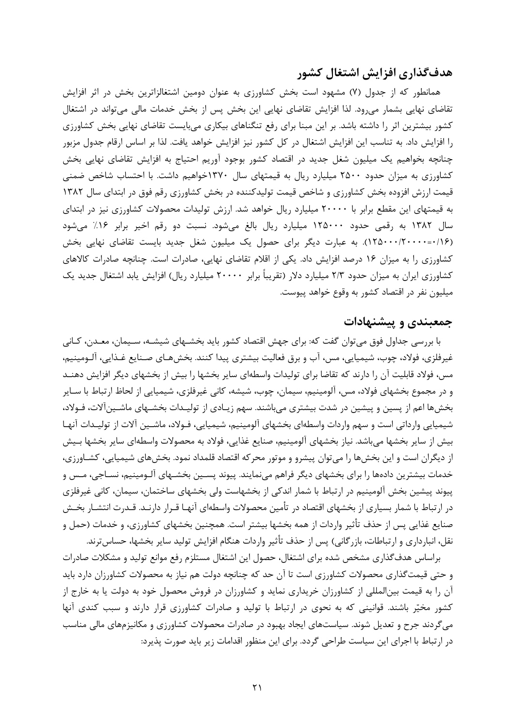#### **هدفگذاري افزايش اشتغال كشور**

همانطور كه از جدول (7) مشهود است بخش كشاورزي به عنوان دومين اشتغالزاترين بخش در اثر افزايش تقاضاي نهايي بشمار ميرود. لذا افزايش تقاضاي نهايي اين بخش پس از بخش خدمات مالي ميتواند در اشتغال كشور بيشترين اثر را داشته باشد. بر اين مبنا براي رفع تنگناهاي بيكاري ميبايست تقاضاي نهايي بخش كشاورزي را افزايش داد. به تناسب اين افزايش اشتغال در كل كشور نيز افزايش خواهد يافت. لذا بر اساس ارقام جدول مزبور چنانچه بخواهيم يك ميليون شغل جديد در اقتصاد كشور بوجود آوريم احتياج به افزايش تقاضاي نهايي بخش كشاورزي به ميزان حدود 2500 ميليارد ريال به قيمتهاي سال 1370خواهيم داشت. با احتساب شاخص ضمني قيمت ارزش افزوده بخش كشاورزي و شاخص قيمت توليدكننده در بخش كشاورزي رقم فوق در ابتداي سال 1382 به قيمتهاي اين مقطع برابر با 20000 ميليارد ريال خواهد شد. ارزش توليدات محصولات كشاورزي نيز در ابتداي سال 1382 به رقمي حدود 125000 ميليارد ريال بالغ ميشود. نسبت دو رقم اخير برابر %16 ميشود (0/16=125000/20000). به عبارت ديگر براي حصول يك ميليون شغل جديد بايست تقاضاي نهايي بخش كشاورزي را به ميزان 16 درصد افزايش داد. يكي از اقلام تقاضاي نهايي، صادرات است. چنانچه صادرات كالاهاي كشاورزي ايران به ميزان حدود 2/3 ميليارد دلار (تقريباً برابر 20000 ميليارد ريال) افزايش يابد اشتغال جديد يك ميليون نفر در اقتصاد كشور به وقوع خواهد پيوست.

#### **جمعبندي و پيشنهادات**

با بررسي جداول فوق ميتوان گفت كه: براي جهش اقتصاد كشور بايد بخشـهاي شيشـه، سـيمان، معـدن، كـاني غيرفلزي، فولاد، چوب، شيميايي، مس، آب و برق فعاليت بيشتري پيدا كنند. بخشهـاي صـنايع غـذايي، آلـومينيم، مس، فولاد قابليت آن را دارند كه تقاضا براي توليدات واسطهاي ساير بخشها را بيش از بخشهاي ديگر افزايش دهنـد و در مجموع بخشهاي فولاد، مس، آلومينيم، سيمان، چوب، شيشه، كاني غيرفلزي، شيميايي از لحاظ ارتباط با سـاير بخشها اعم از پسين و پيشين در شدت بيشتري ميباشند. سهم زيـادي از توليـدات بخشـهاي ماشـينآلات، فـولاد، شيميايي وارداتي است و سهم واردات واسطهاي بخشهاي آلومينيم، شيميايي، فـولاد، ماشـين آلات از توليـدات آنهـا بيش از ساير بخشها ميباشد. نياز بخشهاي آلومينيم، صنايع غذايي، فولاد به محصولات واسطهاي ساير بخشها بـيش از ديگران است و اين بخشها را ميتوان پيشرو و موتور محركه اقتصاد قلمداد نمود. بخشهاي شيميايي، كشـاورزي، خدمات بيشترين دادهها را براي بخشهاي ديگر فراهم مينمايند. پيوند پسـين بخشـهاي آلـومينيم، نسـاجي، مـس و پيوند پيشين بخش آلومينيم در ارتباط با شمار اندكي از بخشهاست ولي بخشهاي ساختمان، سيمان، كاني غيرفلزي در ارتباط با شمار بسياري از بخشهاي اقتصاد در تأمين محصولات واسطهاي آنهـا قـرار دارنـد. قـدرت انتشـار بخـش صنايع غذايي پس از حذف تأثير واردات از همه بخشها بيشتر است. همچنين بخشهاي كشاورزي، و خدمات (حمل و نقل، انبارداري و ارتباطات، بازرگاني) پس از حذف تأثير واردات هنگام افزايش توليد ساير بخشها، حساسترند.

براساس هدفگذاري مشخص شده براي اشتغال، حصول اين اشتغال مستلزم رفع موانع توليد و مشكلات صادرات و حتي قيمتگذاري محصولات كشاورزي است تا آن حد كه چنانچه دولت هم نياز به محصولات كشاورزان دارد بايد آن را به قيمت بينالمللي از كشاورزان خريداري نمايد و كشاورزان در فروش محصول خود به دولت يا به خارج از كشور مخير باشند. قوانيني كه به نحوي در ارتباط با توليد و صادرات كشاورزي قرار دارند و سبب كندي آنها ميگردند جرح و تعديل شوند. سياستهاي ايجاد بهبود در صادرات محصولات كشاورزي و مكانيزمهاي مالي مناسب در ارتباط با اجراي اين سياست طراحي گردد. براي اين منظور اقدامات زير بايد صورت پذيرد: